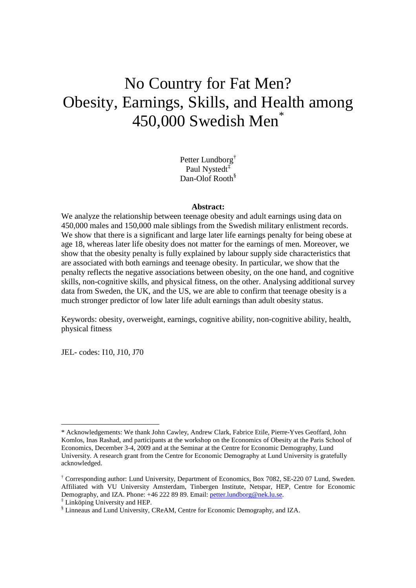# No Country for Fat Men? Obesity, Earnings, Skills, and Health among 450,000 Swedish Men<sup>\*</sup>

Petter Lundborg<sup>†</sup> Paul Nystedt<sup>‡</sup> Dan-Olof Rooth<sup>§</sup>

#### **Abstract:**

We analyze the relationship between teenage obesity and adult earnings using data on 450,000 males and 150,000 male siblings from the Swedish military enlistment records. We show that there is a significant and large later life earnings penalty for being obese at age 18, whereas later life obesity does not matter for the earnings of men. Moreover, we show that the obesity penalty is fully explained by labour supply side characteristics that are associated with both earnings and teenage obesity. In particular, we show that the penalty reflects the negative associations between obesity, on the one hand, and cognitive skills, non-cognitive skills, and physical fitness, on the other. Analysing additional survey data from Sweden, the UK, and the US, we are able to confirm that teenage obesity is a much stronger predictor of low later life adult earnings than adult obesity status.

Keywords: obesity, overweight, earnings, cognitive ability, non-cognitive ability, health, physical fitness

JEL- codes: I10, J10, J70

-

<sup>\*</sup> Acknowledgements: We thank John Cawley, Andrew Clark, Fabrice Etile, Pierre-Yves Geoffard, John Komlos, Inas Rashad, and participants at the workshop on the Economics of Obesity at the Paris School of Economics, December 3-4, 2009 and at the Seminar at the Centre for Economic Demography, Lund University. A research grant from the Centre for Economic Demography at Lund University is gratefully acknowledged.

<sup>†</sup> Corresponding author: Lund University, Department of Economics, Box 7082, SE-220 07 Lund, Sweden. Affiliated with VU University Amsterdam, Tinbergen Institute, Netspar, HEP, Centre for Economic Demography, and IZA. Phone: +46 222 89 89. Email: petter.lundborg@nek.lu.se.

<sup>‡</sup> Linköping University and HEP.

<sup>§</sup> Linneaus and Lund University, CReAM, Centre for Economic Demography, and IZA.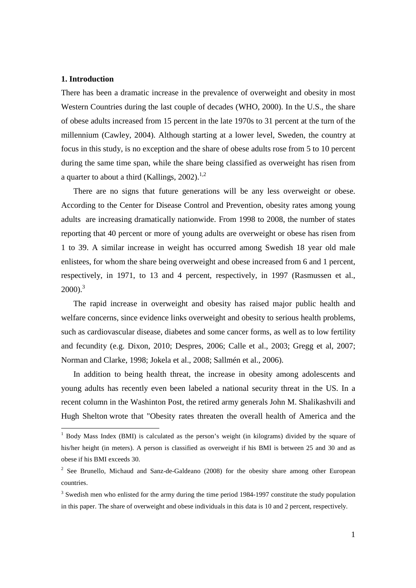#### **1. Introduction**

l

There has been a dramatic increase in the prevalence of overweight and obesity in most Western Countries during the last couple of decades (WHO, 2000). In the U.S., the share of obese adults increased from 15 percent in the late 1970s to 31 percent at the turn of the millennium (Cawley, 2004). Although starting at a lower level, Sweden, the country at focus in this study, is no exception and the share of obese adults rose from 5 to 10 percent during the same time span, while the share being classified as overweight has risen from a quarter to about a third (Kallings,  $2002$ ).<sup>1,2</sup>

There are no signs that future generations will be any less overweight or obese. According to the Center for Disease Control and Prevention, obesity rates among young adults are increasing dramatically nationwide. From 1998 to 2008, the number of states reporting that 40 percent or more of young adults are overweight or obese has risen from 1 to 39. A similar increase in weight has occurred among Swedish 18 year old male enlistees, for whom the share being overweight and obese increased from 6 and 1 percent, respectively, in 1971, to 13 and 4 percent, respectively, in 1997 (Rasmussen et al.,  $2000$ ).<sup>3</sup>

The rapid increase in overweight and obesity has raised major public health and welfare concerns, since evidence links overweight and obesity to serious health problems, such as cardiovascular disease, diabetes and some cancer forms, as well as to low fertility and fecundity (e.g. Dixon, 2010; Despres, 2006; Calle et al., 2003; Gregg et al, 2007; Norman and Clarke, 1998; Jokela et al., 2008; Sallmén et al., 2006).

In addition to being health threat, the increase in obesity among adolescents and young adults has recently even been labeled a national security threat in the US. In a recent column in the Washinton Post, the retired army generals John M. Shalikashvili and Hugh Shelton wrote that "Obesity rates threaten the overall health of America and the

<sup>&</sup>lt;sup>1</sup> Body Mass Index (BMI) is calculated as the person's weight (in kilograms) divided by the square of his/her height (in meters). A person is classified as overweight if his BMI is between 25 and 30 and as obese if his BMI exceeds 30.

 $2^2$  See Brunello, Michaud and Sanz-de-Galdeano (2008) for the obesity share among other European countries.

 $3$  Swedish men who enlisted for the army during the time period 1984-1997 constitute the study population in this paper. The share of overweight and obese individuals in this data is 10 and 2 percent, respectively.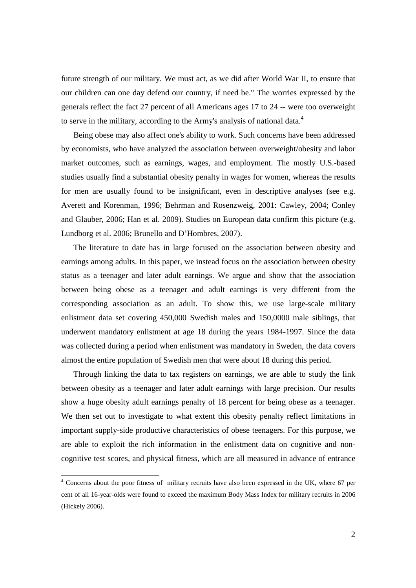future strength of our military. We must act, as we did after World War II, to ensure that our children can one day defend our country, if need be." The worries expressed by the generals reflect the fact 27 percent of all Americans ages 17 to 24 -- were too overweight to serve in the military, according to the Army's analysis of national data.<sup>4</sup>

Being obese may also affect one's ability to work. Such concerns have been addressed by economists, who have analyzed the association between overweight/obesity and labor market outcomes, such as earnings, wages, and employment. The mostly U.S.-based studies usually find a substantial obesity penalty in wages for women, whereas the results for men are usually found to be insignificant, even in descriptive analyses (see e.g. Averett and Korenman, 1996; Behrman and Rosenzweig, 2001: Cawley, 2004; Conley and Glauber, 2006; Han et al. 2009). Studies on European data confirm this picture (e.g. Lundborg et al. 2006; Brunello and D'Hombres, 2007).

The literature to date has in large focused on the association between obesity and earnings among adults. In this paper, we instead focus on the association between obesity status as a teenager and later adult earnings. We argue and show that the association between being obese as a teenager and adult earnings is very different from the corresponding association as an adult. To show this, we use large-scale military enlistment data set covering 450,000 Swedish males and 150,0000 male siblings, that underwent mandatory enlistment at age 18 during the years 1984-1997. Since the data was collected during a period when enlistment was mandatory in Sweden, the data covers almost the entire population of Swedish men that were about 18 during this period.

Through linking the data to tax registers on earnings, we are able to study the link between obesity as a teenager and later adult earnings with large precision. Our results show a huge obesity adult earnings penalty of 18 percent for being obese as a teenager. We then set out to investigate to what extent this obesity penalty reflect limitations in important supply-side productive characteristics of obese teenagers. For this purpose, we are able to exploit the rich information in the enlistment data on cognitive and noncognitive test scores, and physical fitness, which are all measured in advance of entrance

<sup>&</sup>lt;sup>4</sup> Concerns about the poor fitness of military recruits have also been expressed in the UK, where 67 per cent of all 16-year-olds were found to exceed the maximum Body Mass Index for military recruits in 2006 (Hickely 2006).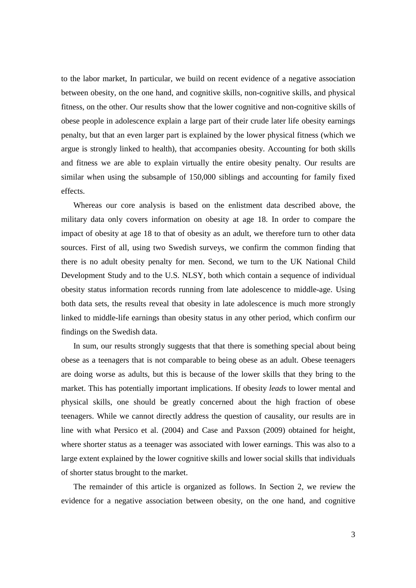to the labor market, In particular, we build on recent evidence of a negative association between obesity, on the one hand, and cognitive skills, non-cognitive skills, and physical fitness, on the other. Our results show that the lower cognitive and non-cognitive skills of obese people in adolescence explain a large part of their crude later life obesity earnings penalty, but that an even larger part is explained by the lower physical fitness (which we argue is strongly linked to health), that accompanies obesity. Accounting for both skills and fitness we are able to explain virtually the entire obesity penalty. Our results are similar when using the subsample of 150,000 siblings and accounting for family fixed effects.

Whereas our core analysis is based on the enlistment data described above, the military data only covers information on obesity at age 18. In order to compare the impact of obesity at age 18 to that of obesity as an adult, we therefore turn to other data sources. First of all, using two Swedish surveys, we confirm the common finding that there is no adult obesity penalty for men. Second, we turn to the UK National Child Development Study and to the U.S. NLSY, both which contain a sequence of individual obesity status information records running from late adolescence to middle-age. Using both data sets, the results reveal that obesity in late adolescence is much more strongly linked to middle-life earnings than obesity status in any other period, which confirm our findings on the Swedish data.

In sum, our results strongly suggests that that there is something special about being obese as a teenagers that is not comparable to being obese as an adult. Obese teenagers are doing worse as adults, but this is because of the lower skills that they bring to the market. This has potentially important implications. If obesity *leads* to lower mental and physical skills, one should be greatly concerned about the high fraction of obese teenagers. While we cannot directly address the question of causality, our results are in line with what Persico et al. (2004) and Case and Paxson (2009) obtained for height, where shorter status as a teenager was associated with lower earnings. This was also to a large extent explained by the lower cognitive skills and lower social skills that individuals of shorter status brought to the market.

The remainder of this article is organized as follows. In Section 2, we review the evidence for a negative association between obesity, on the one hand, and cognitive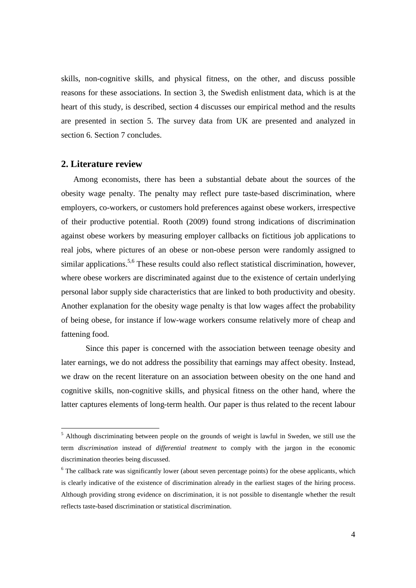skills, non-cognitive skills, and physical fitness, on the other, and discuss possible reasons for these associations. In section 3, the Swedish enlistment data, which is at the heart of this study, is described, section 4 discusses our empirical method and the results are presented in section 5. The survey data from UK are presented and analyzed in section 6. Section 7 concludes.

#### **2. Literature review**

l

Among economists, there has been a substantial debate about the sources of the obesity wage penalty. The penalty may reflect pure taste-based discrimination, where employers, co-workers, or customers hold preferences against obese workers, irrespective of their productive potential. Rooth (2009) found strong indications of discrimination against obese workers by measuring employer callbacks on fictitious job applications to real jobs, where pictures of an obese or non-obese person were randomly assigned to similar applications.<sup>5,6</sup> These results could also reflect statistical discrimination, however, where obese workers are discriminated against due to the existence of certain underlying personal labor supply side characteristics that are linked to both productivity and obesity. Another explanation for the obesity wage penalty is that low wages affect the probability of being obese, for instance if low-wage workers consume relatively more of cheap and fattening food.

 Since this paper is concerned with the association between teenage obesity and later earnings, we do not address the possibility that earnings may affect obesity. Instead, we draw on the recent literature on an association between obesity on the one hand and cognitive skills, non-cognitive skills, and physical fitness on the other hand, where the latter captures elements of long-term health. Our paper is thus related to the recent labour

<sup>&</sup>lt;sup>5</sup> Although discriminating between people on the grounds of weight is lawful in Sweden, we still use the term *discrimination* instead of *differential treatment* to comply with the jargon in the economic discrimination theories being discussed.

<sup>&</sup>lt;sup>6</sup> The callback rate was significantly lower (about seven percentage points) for the obese applicants, which is clearly indicative of the existence of discrimination already in the earliest stages of the hiring process. Although providing strong evidence on discrimination, it is not possible to disentangle whether the result reflects taste-based discrimination or statistical discrimination.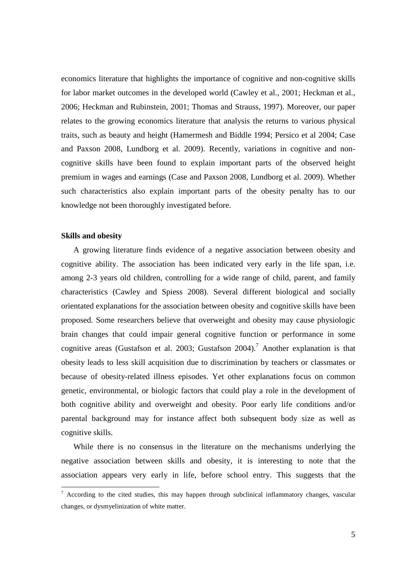economics literature that highlights the importance of cognitive and non-cognitive skills for labor market outcomes in the developed world (Cawley et al., 2001; Heckman et al., 2006; Heckman and Rubinstein, 2001; Thomas and Strauss, 1997). Moreover, our paper relates to the growing economics literature that analysis the returns to various physical traits, such as beauty and height (Hamermesh and Biddle 1994; Persico et al 2004; Case and Paxson 2008, Lundborg et al. 2009). Recently, variations in cognitive and noncognitive skills have been found to explain important parts of the observed height premium in wages and earnings (Case and Paxson 2008, Lundborg et al. 2009). Whether such characteristics also explain important parts of the obesity penalty has to our knowledge not been thoroughly investigated before.

#### **Skills and obesity**

A growing literature finds evidence of a negative association between obesity and cognitive ability. The association has been indicated very early in the life span, i.e. among 2-3 years old children, controlling for a wide range of child, parent, and family characteristics (Cawley and Spiess 2008). Several different biological and socially orientated explanations for the association between obesity and cognitive skills have been proposed. Some researchers believe that overweight and obesity may cause physiologic brain changes that could impair general cognitive function or performance in some cognitive areas (Gustafson et al. 2003; Gustafson 2004).<sup>7</sup> Another explanation is that obesity leads to less skill acquisition due to discrimination by teachers or classmates or because of obesity-related illness episodes. Yet other explanations focus on common genetic, environmental, or biologic factors that could play a role in the development of both cognitive ability and overweight and obesity. Poor early life conditions and/or parental background may for instance affect both subsequent body size as well as cognitive skills.

While there is no consensus in the literature on the mechanisms underlying the negative association between skills and obesity, it is interesting to note that the association appears very early in life, before school entry. This suggests that the

<sup>&</sup>lt;sup>7</sup> According to the cited studies, this may happen through subclinical inflammatory changes, vascular changes, or dysmyelinization of white matter.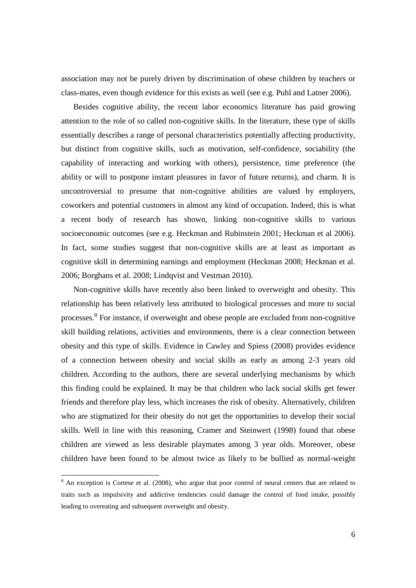association may not be purely driven by discrimination of obese children by teachers or class-mates, even though evidence for this exists as well (see e.g. Puhl and Latner 2006).

Besides cognitive ability, the recent labor economics literature has paid growing attention to the role of so called non-cognitive skills. In the literature, these type of skills essentially describes a range of personal characteristics potentially affecting productivity, but distinct from cognitive skills, such as motivation, self-confidence, sociability (the capability of interacting and working with others), persistence, time preference (the ability or will to postpone instant pleasures in favor of future returns), and charm. It is uncontroversial to presume that non-cognitive abilities are valued by employers, coworkers and potential customers in almost any kind of occupation. Indeed, this is what a recent body of research has shown, linking non-cognitive skills to various socioeconomic outcomes (see e.g. Heckman and Rubinstein 2001; Heckman et al 2006). In fact, some studies suggest that non-cognitive skills are at least as important as cognitive skill in determining earnings and employment (Heckman 2008; Heckman et al. 2006; Borghans et al. 2008; Lindqvist and Vestman 2010).

Non-cognitive skills have recently also been linked to overweight and obesity. This relationship has been relatively less attributed to biological processes and more to social processes.<sup>8</sup> For instance, if overweight and obese people are excluded from non-cognitive skill building relations, activities and environments, there is a clear connection between obesity and this type of skills. Evidence in Cawley and Spiess (2008) provides evidence of a connection between obesity and social skills as early as among 2-3 years old children. According to the authors, there are several underlying mechanisms by which this finding could be explained. It may be that children who lack social skills get fewer friends and therefore play less, which increases the risk of obesity. Alternatively, children who are stigmatized for their obesity do not get the opportunities to develop their social skills. Well in line with this reasoning, Cramer and Steinwert (1998) found that obese children are viewed as less desirable playmates among 3 year olds. Moreover, obese children have been found to be almost twice as likely to be bullied as normal-weight

<sup>&</sup>lt;sup>8</sup> An exception is Cortese et al. (2008), who argue that poor control of neural centers that are related to traits such as impulsivity and addictive tendencies could damage the control of food intake, possibly leading to overeating and subsequent overweight and obesity.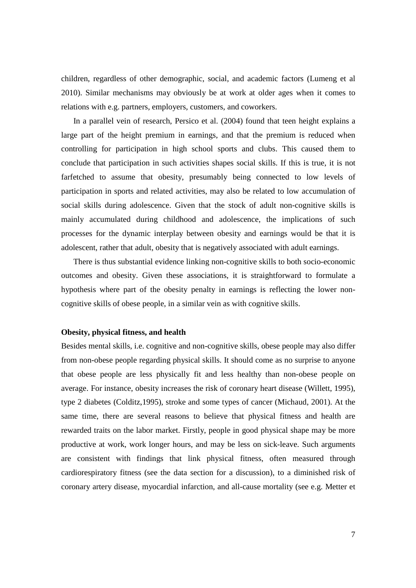children, regardless of other demographic, social, and academic factors (Lumeng et al 2010). Similar mechanisms may obviously be at work at older ages when it comes to relations with e.g. partners, employers, customers, and coworkers.

In a parallel vein of research, Persico et al. (2004) found that teen height explains a large part of the height premium in earnings, and that the premium is reduced when controlling for participation in high school sports and clubs. This caused them to conclude that participation in such activities shapes social skills. If this is true, it is not farfetched to assume that obesity, presumably being connected to low levels of participation in sports and related activities, may also be related to low accumulation of social skills during adolescence. Given that the stock of adult non-cognitive skills is mainly accumulated during childhood and adolescence, the implications of such processes for the dynamic interplay between obesity and earnings would be that it is adolescent, rather that adult, obesity that is negatively associated with adult earnings.

There is thus substantial evidence linking non-cognitive skills to both socio-economic outcomes and obesity. Given these associations, it is straightforward to formulate a hypothesis where part of the obesity penalty in earnings is reflecting the lower noncognitive skills of obese people, in a similar vein as with cognitive skills.

#### **Obesity, physical fitness, and health**

Besides mental skills, i.e. cognitive and non-cognitive skills, obese people may also differ from non-obese people regarding physical skills. It should come as no surprise to anyone that obese people are less physically fit and less healthy than non-obese people on average. For instance, obesity increases the risk of coronary heart disease (Willett, 1995), type 2 diabetes (Colditz,1995), stroke and some types of cancer (Michaud, 2001). At the same time, there are several reasons to believe that physical fitness and health are rewarded traits on the labor market. Firstly, people in good physical shape may be more productive at work, work longer hours, and may be less on sick-leave. Such arguments are consistent with findings that link physical fitness, often measured through cardiorespiratory fitness (see the data section for a discussion), to a diminished risk of coronary artery disease, myocardial infarction, and all-cause mortality (see e.g. Metter et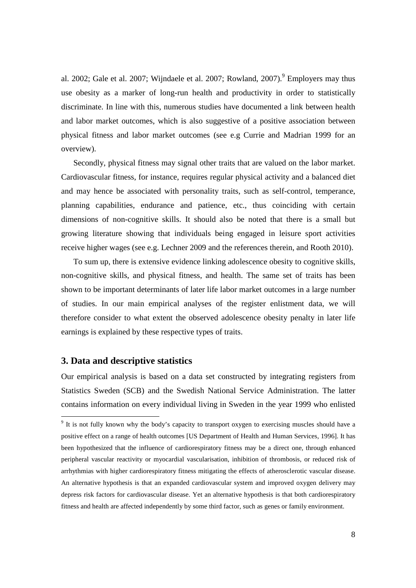al. 2002; Gale et al. 2007; Wijndaele et al. 2007; Rowland, 2007). <sup>9</sup> Employers may thus use obesity as a marker of long-run health and productivity in order to statistically discriminate. In line with this, numerous studies have documented a link between health and labor market outcomes, which is also suggestive of a positive association between physical fitness and labor market outcomes (see e.g Currie and Madrian 1999 for an overview).

Secondly, physical fitness may signal other traits that are valued on the labor market. Cardiovascular fitness, for instance, requires regular physical activity and a balanced diet and may hence be associated with personality traits, such as self-control, temperance, planning capabilities, endurance and patience, etc., thus coinciding with certain dimensions of non-cognitive skills. It should also be noted that there is a small but growing literature showing that individuals being engaged in leisure sport activities receive higher wages (see e.g. Lechner 2009 and the references therein, and Rooth 2010).

To sum up, there is extensive evidence linking adolescence obesity to cognitive skills, non-cognitive skills, and physical fitness, and health. The same set of traits has been shown to be important determinants of later life labor market outcomes in a large number of studies. In our main empirical analyses of the register enlistment data, we will therefore consider to what extent the observed adolescence obesity penalty in later life earnings is explained by these respective types of traits.

#### **3. Data and descriptive statistics**

Our empirical analysis is based on a data set constructed by integrating registers from Statistics Sweden (SCB) and the Swedish National Service Administration. The latter contains information on every individual living in Sweden in the year 1999 who enlisted

<sup>&</sup>lt;sup>9</sup> It is not fully known why the body's capacity to transport oxygen to exercising muscles should have a positive effect on a range of health outcomes [US Department of Health and Human Services, 1996]. It has been hypothesized that the influence of cardiorespiratory fitness may be a direct one, through enhanced peripheral vascular reactivity or myocardial vascularisation, inhibition of thrombosis, or reduced risk of arrhythmias with higher cardiorespiratory fitness mitigating the effects of atherosclerotic vascular disease. An alternative hypothesis is that an expanded cardiovascular system and improved oxygen delivery may depress risk factors for cardiovascular disease. Yet an alternative hypothesis is that both cardiorespiratory fitness and health are affected independently by some third factor, such as genes or family environment.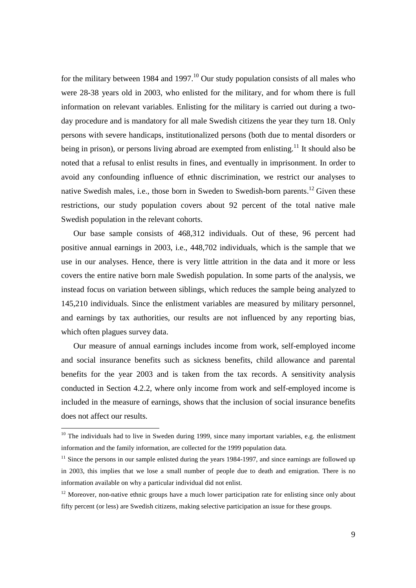for the military between 1984 and 1997.<sup>10</sup> Our study population consists of all males who were 28-38 years old in 2003, who enlisted for the military, and for whom there is full information on relevant variables. Enlisting for the military is carried out during a twoday procedure and is mandatory for all male Swedish citizens the year they turn 18. Only persons with severe handicaps, institutionalized persons (both due to mental disorders or being in prison), or persons living abroad are exempted from enlisting.<sup>11</sup> It should also be noted that a refusal to enlist results in fines, and eventually in imprisonment. In order to avoid any confounding influence of ethnic discrimination, we restrict our analyses to native Swedish males, i.e., those born in Sweden to Swedish-born parents.<sup>12</sup> Given these restrictions, our study population covers about 92 percent of the total native male Swedish population in the relevant cohorts.

Our base sample consists of 468,312 individuals. Out of these, 96 percent had positive annual earnings in 2003, i.e., 448,702 individuals, which is the sample that we use in our analyses. Hence, there is very little attrition in the data and it more or less covers the entire native born male Swedish population. In some parts of the analysis, we instead focus on variation between siblings, which reduces the sample being analyzed to 145,210 individuals. Since the enlistment variables are measured by military personnel, and earnings by tax authorities, our results are not influenced by any reporting bias, which often plagues survey data.

Our measure of annual earnings includes income from work, self-employed income and social insurance benefits such as sickness benefits, child allowance and parental benefits for the year 2003 and is taken from the tax records. A sensitivity analysis conducted in Section 4.2.2, where only income from work and self-employed income is included in the measure of earnings, shows that the inclusion of social insurance benefits does not affect our results.

 $10$  The individuals had to live in Sweden during 1999, since many important variables, e.g. the enlistment information and the family information, are collected for the 1999 population data.

 $11$  Since the persons in our sample enlisted during the years 1984-1997, and since earnings are followed up in 2003, this implies that we lose a small number of people due to death and emigration. There is no information available on why a particular individual did not enlist.

<sup>&</sup>lt;sup>12</sup> Moreover, non-native ethnic groups have a much lower participation rate for enlisting since only about fifty percent (or less) are Swedish citizens, making selective participation an issue for these groups.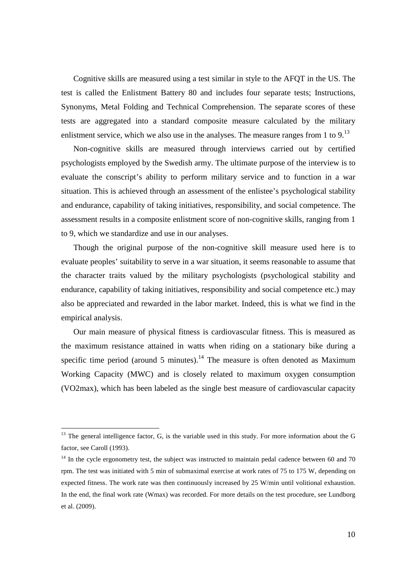Cognitive skills are measured using a test similar in style to the AFQT in the US. The test is called the Enlistment Battery 80 and includes four separate tests; Instructions, Synonyms, Metal Folding and Technical Comprehension. The separate scores of these tests are aggregated into a standard composite measure calculated by the military enlistment service, which we also use in the analyses. The measure ranges from 1 to 9. $^{13}$ 

Non-cognitive skills are measured through interviews carried out by certified psychologists employed by the Swedish army. The ultimate purpose of the interview is to evaluate the conscript's ability to perform military service and to function in a war situation. This is achieved through an assessment of the enlistee's psychological stability and endurance, capability of taking initiatives, responsibility, and social competence. The assessment results in a composite enlistment score of non-cognitive skills, ranging from 1 to 9, which we standardize and use in our analyses.

Though the original purpose of the non-cognitive skill measure used here is to evaluate peoples' suitability to serve in a war situation, it seems reasonable to assume that the character traits valued by the military psychologists (psychological stability and endurance, capability of taking initiatives, responsibility and social competence etc.) may also be appreciated and rewarded in the labor market. Indeed, this is what we find in the empirical analysis.

Our main measure of physical fitness is cardiovascular fitness. This is measured as the maximum resistance attained in watts when riding on a stationary bike during a specific time period (around 5 minutes).<sup>14</sup> The measure is often denoted as Maximum Working Capacity (MWC) and is closely related to maximum oxygen consumption (VO2max), which has been labeled as the single best measure of cardiovascular capacity

 $13$  The general intelligence factor, G, is the variable used in this study. For more information about the G factor, see Caroll (1993).

 $14$  In the cycle ergonometry test, the subject was instructed to maintain pedal cadence between 60 and 70 rpm. The test was initiated with 5 min of submaximal exercise at work rates of 75 to 175 W, depending on expected fitness. The work rate was then continuously increased by 25 W/min until volitional exhaustion. In the end, the final work rate (Wmax) was recorded. For more details on the test procedure, see Lundborg et al. (2009).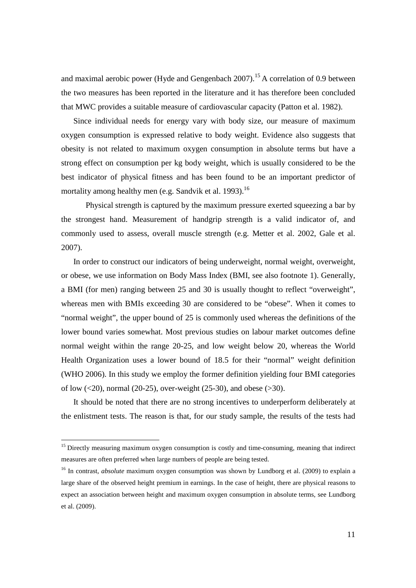and maximal aerobic power (Hyde and Gengenbach 2007).<sup>15</sup> A correlation of 0.9 between the two measures has been reported in the literature and it has therefore been concluded that MWC provides a suitable measure of cardiovascular capacity (Patton et al. 1982).

Since individual needs for energy vary with body size, our measure of maximum oxygen consumption is expressed relative to body weight. Evidence also suggests that obesity is not related to maximum oxygen consumption in absolute terms but have a strong effect on consumption per kg body weight, which is usually considered to be the best indicator of physical fitness and has been found to be an important predictor of mortality among healthy men (e.g. Sandvik et al. 1993). $^{16}$ 

 Physical strength is captured by the maximum pressure exerted squeezing a bar by the strongest hand. Measurement of handgrip strength is a valid indicator of, and commonly used to assess, overall muscle strength (e.g. Metter et al. 2002, Gale et al. 2007).

In order to construct our indicators of being underweight, normal weight, overweight, or obese, we use information on Body Mass Index (BMI, see also footnote 1). Generally, a BMI (for men) ranging between 25 and 30 is usually thought to reflect "overweight", whereas men with BMIs exceeding 30 are considered to be "obese". When it comes to "normal weight", the upper bound of 25 is commonly used whereas the definitions of the lower bound varies somewhat. Most previous studies on labour market outcomes define normal weight within the range 20-25, and low weight below 20, whereas the World Health Organization uses a lower bound of 18.5 for their "normal" weight definition (WHO 2006). In this study we employ the former definition yielding four BMI categories of low  $(<20$ ), normal (20-25), over-weight (25-30), and obese ( $>30$ ).

It should be noted that there are no strong incentives to underperform deliberately at the enlistment tests. The reason is that, for our study sample, the results of the tests had

<sup>&</sup>lt;sup>15</sup> Directly measuring maximum oxygen consumption is costly and time-consuming, meaning that indirect measures are often preferred when large numbers of people are being tested.

<sup>&</sup>lt;sup>16</sup> In contrast, *absolute* maximum oxygen consumption was shown by Lundborg et al. (2009) to explain a large share of the observed height premium in earnings. In the case of height, there are physical reasons to expect an association between height and maximum oxygen consumption in absolute terms, see Lundborg et al. (2009).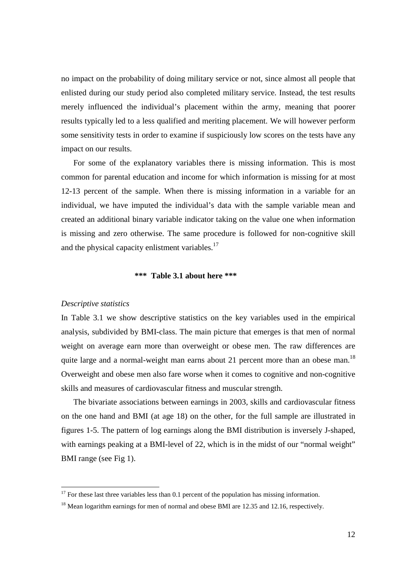no impact on the probability of doing military service or not, since almost all people that enlisted during our study period also completed military service. Instead, the test results merely influenced the individual's placement within the army, meaning that poorer results typically led to a less qualified and meriting placement. We will however perform some sensitivity tests in order to examine if suspiciously low scores on the tests have any impact on our results.

For some of the explanatory variables there is missing information. This is most common for parental education and income for which information is missing for at most 12-13 percent of the sample. When there is missing information in a variable for an individual, we have imputed the individual's data with the sample variable mean and created an additional binary variable indicator taking on the value one when information is missing and zero otherwise. The same procedure is followed for non-cognitive skill and the physical capacity enlistment variables. $17$ 

#### **\*\*\* Table 3.1 about here \*\*\***

#### *Descriptive statistics*

l

In Table 3.1 we show descriptive statistics on the key variables used in the empirical analysis, subdivided by BMI-class. The main picture that emerges is that men of normal weight on average earn more than overweight or obese men. The raw differences are quite large and a normal-weight man earns about 21 percent more than an obese man.<sup>18</sup> Overweight and obese men also fare worse when it comes to cognitive and non-cognitive skills and measures of cardiovascular fitness and muscular strength.

The bivariate associations between earnings in 2003, skills and cardiovascular fitness on the one hand and BMI (at age 18) on the other, for the full sample are illustrated in figures 1-5. The pattern of log earnings along the BMI distribution is inversely J-shaped, with earnings peaking at a BMI-level of 22, which is in the midst of our "normal weight" BMI range (see Fig 1).

 $17$  For these last three variables less than 0.1 percent of the population has missing information.

<sup>&</sup>lt;sup>18</sup> Mean logarithm earnings for men of normal and obese BMI are 12.35 and 12.16, respectively.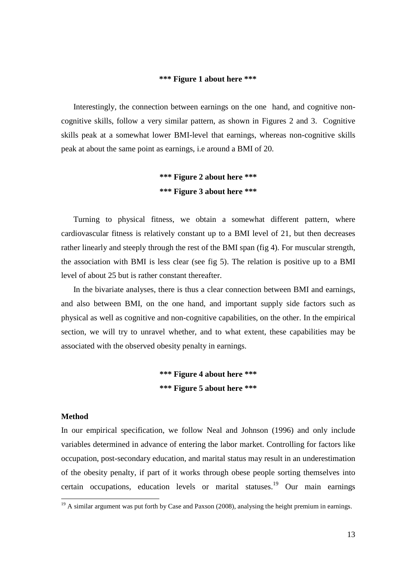#### **\*\*\* Figure 1 about here \*\*\***

Interestingly, the connection between earnings on the one hand, and cognitive noncognitive skills, follow a very similar pattern, as shown in Figures 2 and 3. Cognitive skills peak at a somewhat lower BMI-level that earnings, whereas non-cognitive skills peak at about the same point as earnings, i.e around a BMI of 20.

### **\*\*\* Figure 2 about here \*\*\* \*\*\* Figure 3 about here \*\*\***

Turning to physical fitness, we obtain a somewhat different pattern, where cardiovascular fitness is relatively constant up to a BMI level of 21, but then decreases rather linearly and steeply through the rest of the BMI span (fig 4). For muscular strength, the association with BMI is less clear (see fig 5). The relation is positive up to a BMI level of about 25 but is rather constant thereafter.

In the bivariate analyses, there is thus a clear connection between BMI and earnings, and also between BMI, on the one hand, and important supply side factors such as physical as well as cognitive and non-cognitive capabilities, on the other. In the empirical section, we will try to unravel whether, and to what extent, these capabilities may be associated with the observed obesity penalty in earnings.

### **\*\*\* Figure 4 about here \*\*\* \*\*\* Figure 5 about here \*\*\***

#### **Method**

 $\overline{a}$ 

In our empirical specification, we follow Neal and Johnson (1996) and only include variables determined in advance of entering the labor market. Controlling for factors like occupation, post-secondary education, and marital status may result in an underestimation of the obesity penalty, if part of it works through obese people sorting themselves into certain occupations, education levels or marital statuses.<sup>19</sup> Our main earnings

 $19$  A similar argument was put forth by Case and Paxson (2008), analysing the height premium in earnings.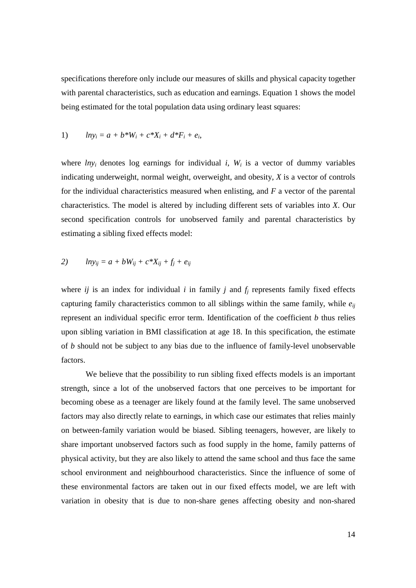specifications therefore only include our measures of skills and physical capacity together with parental characteristics, such as education and earnings. Equation 1 shows the model being estimated for the total population data using ordinary least squares:

1) 
$$
ln y_i = a + b * W_i + c * X_i + d * F_i + e_i
$$
,

where  $lny_i$  denotes log earnings for individual *i*,  $W_i$  is a vector of dummy variables indicating underweight, normal weight, overweight, and obesity, *X* is a vector of controls for the individual characteristics measured when enlisting, and *F* a vector of the parental characteristics. The model is altered by including different sets of variables into *X*. Our second specification controls for unobserved family and parental characteristics by estimating a sibling fixed effects model:

$$
2) \qquad \ln y_{ij} = a + bW_{ij} + c^*X_{ij} + f_j + e_{ij}
$$

where  $i\bar{j}$  is an index for individual  $i$  in family  $j$  and  $f_j$  represents family fixed effects capturing family characteristics common to all siblings within the same family, while  $e_{ii}$ represent an individual specific error term. Identification of the coefficient *b* thus relies upon sibling variation in BMI classification at age 18. In this specification, the estimate of *b* should not be subject to any bias due to the influence of family-level unobservable factors.

 We believe that the possibility to run sibling fixed effects models is an important strength, since a lot of the unobserved factors that one perceives to be important for becoming obese as a teenager are likely found at the family level. The same unobserved factors may also directly relate to earnings, in which case our estimates that relies mainly on between-family variation would be biased. Sibling teenagers, however, are likely to share important unobserved factors such as food supply in the home, family patterns of physical activity, but they are also likely to attend the same school and thus face the same school environment and neighbourhood characteristics. Since the influence of some of these environmental factors are taken out in our fixed effects model, we are left with variation in obesity that is due to non-share genes affecting obesity and non-shared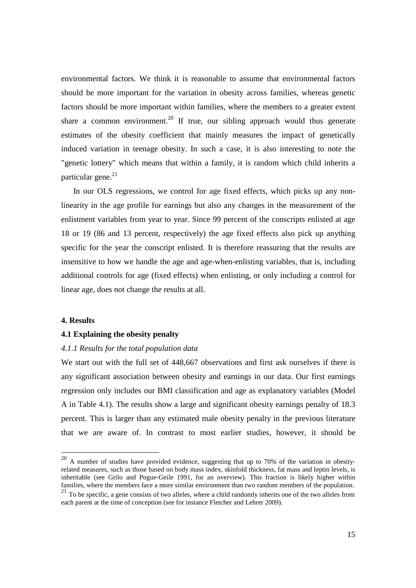environmental factors. We think it is reasonable to assume that environmental factors should be more important for the variation in obesity across families, whereas genetic factors should be more important within families, where the members to a greater extent share a common environment.<sup>20</sup> If true, our sibling approach would thus generate estimates of the obesity coefficient that mainly measures the impact of genetically induced variation in teenage obesity. In such a case, it is also interesting to note the "genetic lottery" which means that within a family, it is random which child inherits a particular gene.<sup>21</sup>

In our OLS regressions, we control for age fixed effects, which picks up any nonlinearity in the age profile for earnings but also any changes in the measurement of the enlistment variables from year to year. Since 99 percent of the conscripts enlisted at age 18 or 19 (86 and 13 percent, respectively) the age fixed effects also pick up anything specific for the year the conscript enlisted. It is therefore reassuring that the results are insensitive to how we handle the age and age-when-enlisting variables, that is, including additional controls for age (fixed effects) when enlisting, or only including a control for linear age, does not change the results at all.

#### **4. Results**

 $\overline{a}$ 

#### **4.1 Explaining the obesity penalty**

#### *4.1.1 Results for the total population data*

We start out with the full set of 448,667 observations and first ask ourselves if there is any significant association between obesity and earnings in our data. Our first earnings regression only includes our BMI classification and age as explanatory variables (Model A in Table 4.1). The results show a large and significant obesity earnings penalty of 18.3 percent. This is larger than any estimated male obesity penalty in the previous literature that we are aware of. In contrast to most earlier studies, however, it should be

 $20$  A number of studies have provided evidence, suggesting that up to 70% of the variation in obesityrelated measures, such as those based on body mass index, skinfold thickness, fat mass and leptin levels, is inheritable (see Grilo and Pogue-Geile 1991, for an overview). This fraction is likely higher within families, where the members face a more similar environment than two random members of the population.

<sup>&</sup>lt;sup>21</sup> To be specific, a gene consists of two alleles, where a child randomly inherits one of the two alleles from each parent at the time of conception (see for instance Fletcher and Lehrer 2009).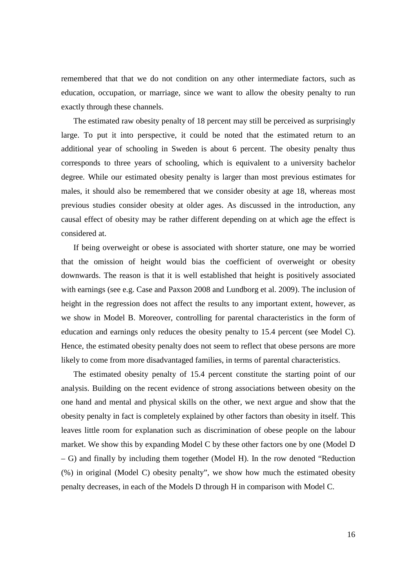remembered that that we do not condition on any other intermediate factors, such as education, occupation, or marriage, since we want to allow the obesity penalty to run exactly through these channels.

The estimated raw obesity penalty of 18 percent may still be perceived as surprisingly large. To put it into perspective, it could be noted that the estimated return to an additional year of schooling in Sweden is about 6 percent. The obesity penalty thus corresponds to three years of schooling, which is equivalent to a university bachelor degree. While our estimated obesity penalty is larger than most previous estimates for males, it should also be remembered that we consider obesity at age 18, whereas most previous studies consider obesity at older ages. As discussed in the introduction, any causal effect of obesity may be rather different depending on at which age the effect is considered at.

If being overweight or obese is associated with shorter stature, one may be worried that the omission of height would bias the coefficient of overweight or obesity downwards. The reason is that it is well established that height is positively associated with earnings (see e.g. Case and Paxson 2008 and Lundborg et al. 2009). The inclusion of height in the regression does not affect the results to any important extent, however, as we show in Model B. Moreover, controlling for parental characteristics in the form of education and earnings only reduces the obesity penalty to 15.4 percent (see Model C). Hence, the estimated obesity penalty does not seem to reflect that obese persons are more likely to come from more disadvantaged families, in terms of parental characteristics.

The estimated obesity penalty of 15.4 percent constitute the starting point of our analysis. Building on the recent evidence of strong associations between obesity on the one hand and mental and physical skills on the other, we next argue and show that the obesity penalty in fact is completely explained by other factors than obesity in itself. This leaves little room for explanation such as discrimination of obese people on the labour market. We show this by expanding Model C by these other factors one by one (Model D – G) and finally by including them together (Model H). In the row denoted "Reduction (%) in original (Model C) obesity penalty", we show how much the estimated obesity penalty decreases, in each of the Models D through H in comparison with Model C.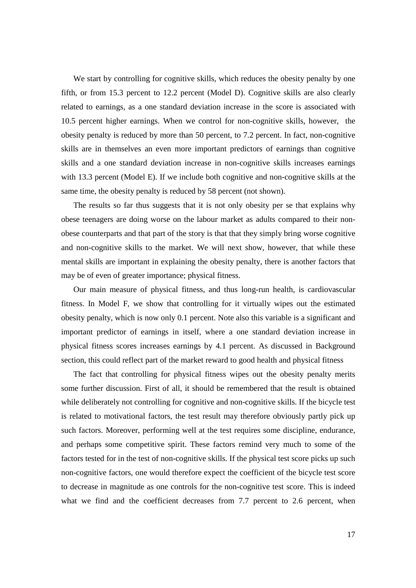We start by controlling for cognitive skills, which reduces the obesity penalty by one fifth, or from 15.3 percent to 12.2 percent (Model D). Cognitive skills are also clearly related to earnings, as a one standard deviation increase in the score is associated with 10.5 percent higher earnings. When we control for non-cognitive skills, however, the obesity penalty is reduced by more than 50 percent, to 7.2 percent. In fact, non-cognitive skills are in themselves an even more important predictors of earnings than cognitive skills and a one standard deviation increase in non-cognitive skills increases earnings with 13.3 percent (Model E). If we include both cognitive and non-cognitive skills at the same time, the obesity penalty is reduced by 58 percent (not shown).

The results so far thus suggests that it is not only obesity per se that explains why obese teenagers are doing worse on the labour market as adults compared to their nonobese counterparts and that part of the story is that that they simply bring worse cognitive and non-cognitive skills to the market. We will next show, however, that while these mental skills are important in explaining the obesity penalty, there is another factors that may be of even of greater importance; physical fitness.

Our main measure of physical fitness, and thus long-run health, is cardiovascular fitness. In Model F, we show that controlling for it virtually wipes out the estimated obesity penalty, which is now only 0.1 percent. Note also this variable is a significant and important predictor of earnings in itself, where a one standard deviation increase in physical fitness scores increases earnings by 4.1 percent. As discussed in Background section, this could reflect part of the market reward to good health and physical fitness

The fact that controlling for physical fitness wipes out the obesity penalty merits some further discussion. First of all, it should be remembered that the result is obtained while deliberately not controlling for cognitive and non-cognitive skills. If the bicycle test is related to motivational factors, the test result may therefore obviously partly pick up such factors. Moreover, performing well at the test requires some discipline, endurance, and perhaps some competitive spirit. These factors remind very much to some of the factors tested for in the test of non-cognitive skills. If the physical test score picks up such non-cognitive factors, one would therefore expect the coefficient of the bicycle test score to decrease in magnitude as one controls for the non-cognitive test score. This is indeed what we find and the coefficient decreases from 7.7 percent to 2.6 percent, when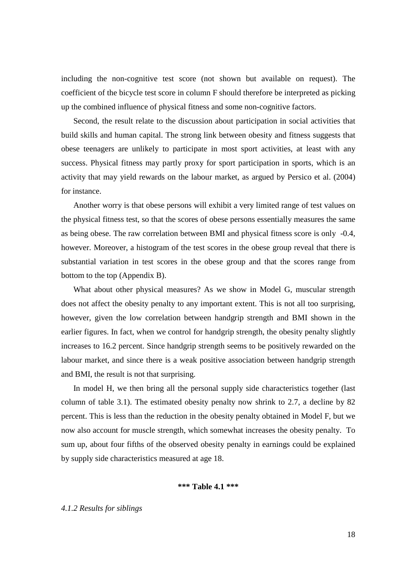including the non-cognitive test score (not shown but available on request). The coefficient of the bicycle test score in column F should therefore be interpreted as picking up the combined influence of physical fitness and some non-cognitive factors.

Second, the result relate to the discussion about participation in social activities that build skills and human capital. The strong link between obesity and fitness suggests that obese teenagers are unlikely to participate in most sport activities, at least with any success. Physical fitness may partly proxy for sport participation in sports, which is an activity that may yield rewards on the labour market, as argued by Persico et al. (2004) for instance.

Another worry is that obese persons will exhibit a very limited range of test values on the physical fitness test, so that the scores of obese persons essentially measures the same as being obese. The raw correlation between BMI and physical fitness score is only -0.4, however. Moreover, a histogram of the test scores in the obese group reveal that there is substantial variation in test scores in the obese group and that the scores range from bottom to the top (Appendix B).

What about other physical measures? As we show in Model G, muscular strength does not affect the obesity penalty to any important extent. This is not all too surprising, however, given the low correlation between handgrip strength and BMI shown in the earlier figures. In fact, when we control for handgrip strength, the obesity penalty slightly increases to 16.2 percent. Since handgrip strength seems to be positively rewarded on the labour market, and since there is a weak positive association between handgrip strength and BMI, the result is not that surprising.

In model H, we then bring all the personal supply side characteristics together (last column of table 3.1). The estimated obesity penalty now shrink to 2.7, a decline by 82 percent. This is less than the reduction in the obesity penalty obtained in Model F, but we now also account for muscle strength, which somewhat increases the obesity penalty. To sum up, about four fifths of the observed obesity penalty in earnings could be explained by supply side characteristics measured at age 18.

#### **\*\*\* Table 4.1 \*\*\***

#### *4.1.2 Results for siblings*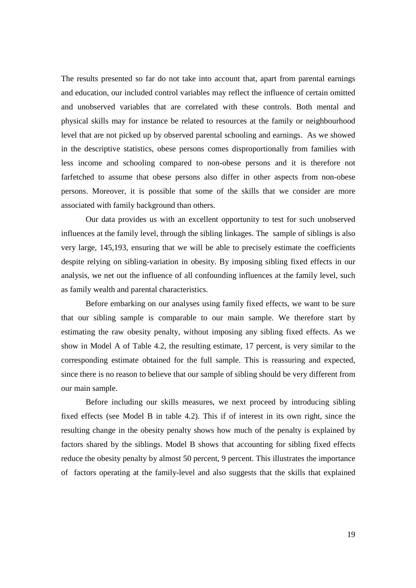The results presented so far do not take into account that, apart from parental earnings and education, our included control variables may reflect the influence of certain omitted and unobserved variables that are correlated with these controls. Both mental and physical skills may for instance be related to resources at the family or neighbourhood level that are not picked up by observed parental schooling and earnings. As we showed in the descriptive statistics, obese persons comes disproportionally from families with less income and schooling compared to non-obese persons and it is therefore not farfetched to assume that obese persons also differ in other aspects from non-obese persons. Moreover, it is possible that some of the skills that we consider are more associated with family background than others.

 Our data provides us with an excellent opportunity to test for such unobserved influences at the family level, through the sibling linkages. The sample of siblings is also very large, 145,193, ensuring that we will be able to precisely estimate the coefficients despite relying on sibling-variation in obesity. By imposing sibling fixed effects in our analysis, we net out the influence of all confounding influences at the family level, such as family wealth and parental characteristics.

 Before embarking on our analyses using family fixed effects, we want to be sure that our sibling sample is comparable to our main sample. We therefore start by estimating the raw obesity penalty, without imposing any sibling fixed effects. As we show in Model A of Table 4.2, the resulting estimate, 17 percent, is very similar to the corresponding estimate obtained for the full sample. This is reassuring and expected, since there is no reason to believe that our sample of sibling should be very different from our main sample.

 Before including our skills measures, we next proceed by introducing sibling fixed effects (see Model B in table 4.2). This if of interest in its own right, since the resulting change in the obesity penalty shows how much of the penalty is explained by factors shared by the siblings. Model B shows that accounting for sibling fixed effects reduce the obesity penalty by almost 50 percent, 9 percent. This illustrates the importance of factors operating at the family-level and also suggests that the skills that explained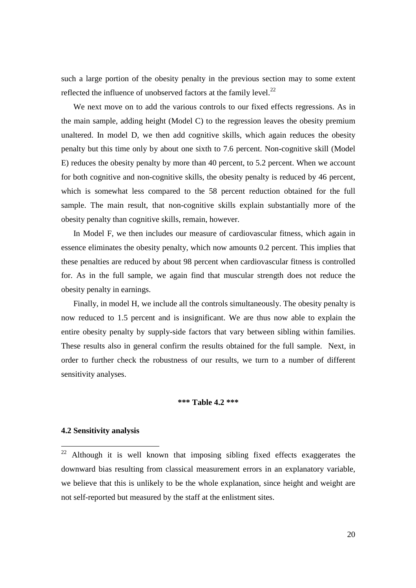such a large portion of the obesity penalty in the previous section may to some extent reflected the influence of unobserved factors at the family level. $^{22}$ 

We next move on to add the various controls to our fixed effects regressions. As in the main sample, adding height (Model C) to the regression leaves the obesity premium unaltered. In model D, we then add cognitive skills, which again reduces the obesity penalty but this time only by about one sixth to 7.6 percent. Non-cognitive skill (Model E) reduces the obesity penalty by more than 40 percent, to 5.2 percent. When we account for both cognitive and non-cognitive skills, the obesity penalty is reduced by 46 percent, which is somewhat less compared to the 58 percent reduction obtained for the full sample. The main result, that non-cognitive skills explain substantially more of the obesity penalty than cognitive skills, remain, however.

In Model F, we then includes our measure of cardiovascular fitness, which again in essence eliminates the obesity penalty, which now amounts 0.2 percent. This implies that these penalties are reduced by about 98 percent when cardiovascular fitness is controlled for. As in the full sample, we again find that muscular strength does not reduce the obesity penalty in earnings.

Finally, in model H, we include all the controls simultaneously. The obesity penalty is now reduced to 1.5 percent and is insignificant. We are thus now able to explain the entire obesity penalty by supply-side factors that vary between sibling within families. These results also in general confirm the results obtained for the full sample. Next, in order to further check the robustness of our results, we turn to a number of different sensitivity analyses.

#### **\*\*\* Table 4.2 \*\*\***

#### **4.2 Sensitivity analysis**

 $\overline{a}$ 

 $22$  Although it is well known that imposing sibling fixed effects exaggerates the downward bias resulting from classical measurement errors in an explanatory variable, we believe that this is unlikely to be the whole explanation, since height and weight are not self-reported but measured by the staff at the enlistment sites.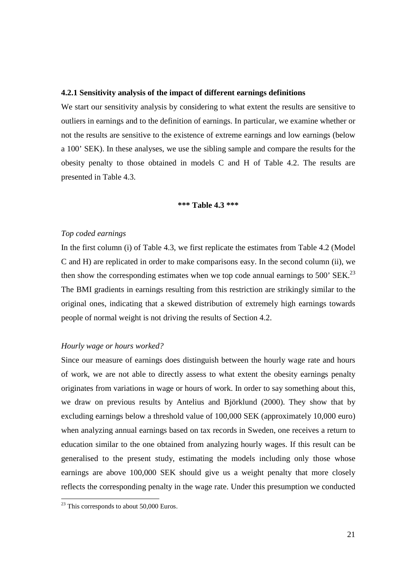#### **4.2.1 Sensitivity analysis of the impact of different earnings definitions**

We start our sensitivity analysis by considering to what extent the results are sensitive to outliers in earnings and to the definition of earnings. In particular, we examine whether or not the results are sensitive to the existence of extreme earnings and low earnings (below a 100' SEK). In these analyses, we use the sibling sample and compare the results for the obesity penalty to those obtained in models C and H of Table 4.2. The results are presented in Table 4.3.

#### **\*\*\* Table 4.3 \*\*\***

#### *Top coded earnings*

In the first column (i) of Table 4.3, we first replicate the estimates from Table 4.2 (Model C and H) are replicated in order to make comparisons easy. In the second column (ii), we then show the corresponding estimates when we top code annual earnings to  $500'$  SEK.<sup>23</sup> The BMI gradients in earnings resulting from this restriction are strikingly similar to the original ones, indicating that a skewed distribution of extremely high earnings towards people of normal weight is not driving the results of Section 4.2.

#### *Hourly wage or hours worked?*

Since our measure of earnings does distinguish between the hourly wage rate and hours of work, we are not able to directly assess to what extent the obesity earnings penalty originates from variations in wage or hours of work. In order to say something about this, we draw on previous results by Antelius and Björklund (2000). They show that by excluding earnings below a threshold value of 100,000 SEK (approximately 10,000 euro) when analyzing annual earnings based on tax records in Sweden, one receives a return to education similar to the one obtained from analyzing hourly wages. If this result can be generalised to the present study, estimating the models including only those whose earnings are above 100,000 SEK should give us a weight penalty that more closely reflects the corresponding penalty in the wage rate. Under this presumption we conducted

 $\overline{a}$ 

 $23$  This corresponds to about 50,000 Euros.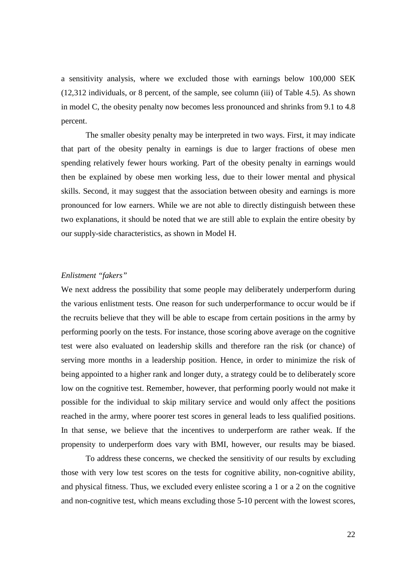a sensitivity analysis, where we excluded those with earnings below 100,000 SEK (12,312 individuals, or 8 percent, of the sample, see column (iii) of Table 4.5). As shown in model C, the obesity penalty now becomes less pronounced and shrinks from 9.1 to 4.8 percent.

 The smaller obesity penalty may be interpreted in two ways. First, it may indicate that part of the obesity penalty in earnings is due to larger fractions of obese men spending relatively fewer hours working. Part of the obesity penalty in earnings would then be explained by obese men working less, due to their lower mental and physical skills. Second, it may suggest that the association between obesity and earnings is more pronounced for low earners. While we are not able to directly distinguish between these two explanations, it should be noted that we are still able to explain the entire obesity by our supply-side characteristics, as shown in Model H.

#### *Enlistment "fakers"*

We next address the possibility that some people may deliberately underperform during the various enlistment tests. One reason for such underperformance to occur would be if the recruits believe that they will be able to escape from certain positions in the army by performing poorly on the tests. For instance, those scoring above average on the cognitive test were also evaluated on leadership skills and therefore ran the risk (or chance) of serving more months in a leadership position. Hence, in order to minimize the risk of being appointed to a higher rank and longer duty, a strategy could be to deliberately score low on the cognitive test. Remember, however, that performing poorly would not make it possible for the individual to skip military service and would only affect the positions reached in the army, where poorer test scores in general leads to less qualified positions. In that sense, we believe that the incentives to underperform are rather weak. If the propensity to underperform does vary with BMI, however, our results may be biased.

 To address these concerns, we checked the sensitivity of our results by excluding those with very low test scores on the tests for cognitive ability, non-cognitive ability, and physical fitness. Thus, we excluded every enlistee scoring a 1 or a 2 on the cognitive and non-cognitive test, which means excluding those 5-10 percent with the lowest scores,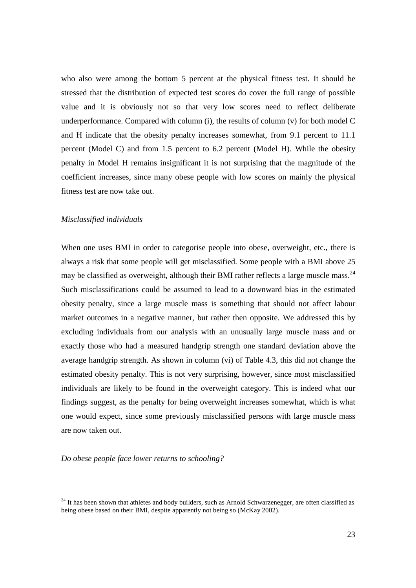who also were among the bottom 5 percent at the physical fitness test. It should be stressed that the distribution of expected test scores do cover the full range of possible value and it is obviously not so that very low scores need to reflect deliberate underperformance. Compared with column (i), the results of column (v) for both model C and H indicate that the obesity penalty increases somewhat, from 9.1 percent to 11.1 percent (Model C) and from 1.5 percent to 6.2 percent (Model H). While the obesity penalty in Model H remains insignificant it is not surprising that the magnitude of the coefficient increases, since many obese people with low scores on mainly the physical fitness test are now take out.

#### *Misclassified individuals*

When one uses BMI in order to categorise people into obese, overweight, etc., there is always a risk that some people will get misclassified. Some people with a BMI above 25 may be classified as overweight, although their BMI rather reflects a large muscle mass.<sup>24</sup> Such misclassifications could be assumed to lead to a downward bias in the estimated obesity penalty, since a large muscle mass is something that should not affect labour market outcomes in a negative manner, but rather then opposite. We addressed this by excluding individuals from our analysis with an unusually large muscle mass and or exactly those who had a measured handgrip strength one standard deviation above the average handgrip strength. As shown in column (vi) of Table 4.3, this did not change the estimated obesity penalty. This is not very surprising, however, since most misclassified individuals are likely to be found in the overweight category. This is indeed what our findings suggest, as the penalty for being overweight increases somewhat, which is what one would expect, since some previously misclassified persons with large muscle mass are now taken out.

*Do obese people face lower returns to schooling?* 

 $\overline{a}$ 

<sup>&</sup>lt;sup>24</sup> It has been shown that athletes and body builders, such as Arnold Schwarzenegger, are often classified as being obese based on their BMI, despite apparently not being so (McKay 2002).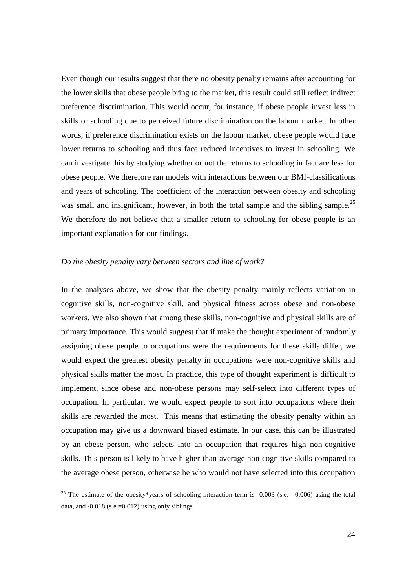Even though our results suggest that there no obesity penalty remains after accounting for the lower skills that obese people bring to the market, this result could still reflect indirect preference discrimination. This would occur, for instance, if obese people invest less in skills or schooling due to perceived future discrimination on the labour market. In other words, if preference discrimination exists on the labour market, obese people would face lower returns to schooling and thus face reduced incentives to invest in schooling. We can investigate this by studying whether or not the returns to schooling in fact are less for obese people. We therefore ran models with interactions between our BMI-classifications and years of schooling. The coefficient of the interaction between obesity and schooling was small and insignificant, however, in both the total sample and the sibling sample.<sup>25</sup> We therefore do not believe that a smaller return to schooling for obese people is an important explanation for our findings.

#### *Do the obesity penalty vary between sectors and line of work?*

l

In the analyses above, we show that the obesity penalty mainly reflects variation in cognitive skills, non-cognitive skill, and physical fitness across obese and non-obese workers. We also shown that among these skills, non-cognitive and physical skills are of primary importance. This would suggest that if make the thought experiment of randomly assigning obese people to occupations were the requirements for these skills differ, we would expect the greatest obesity penalty in occupations were non-cognitive skills and physical skills matter the most. In practice, this type of thought experiment is difficult to implement, since obese and non-obese persons may self-select into different types of occupation. In particular, we would expect people to sort into occupations where their skills are rewarded the most. This means that estimating the obesity penalty within an occupation may give us a downward biased estimate. In our case, this can be illustrated by an obese person, who selects into an occupation that requires high non-cognitive skills. This person is likely to have higher-than-average non-cognitive skills compared to the average obese person, otherwise he who would not have selected into this occupation

<sup>&</sup>lt;sup>25</sup> The estimate of the obesity\*years of schooling interaction term is  $-0.003$  (s.e. = 0.006) using the total data, and  $-0.018$  (s.e.= $0.012$ ) using only siblings.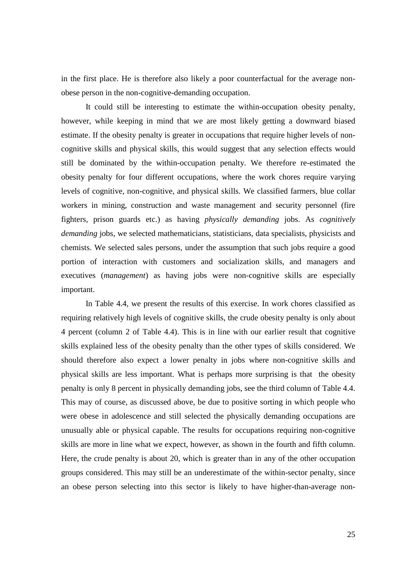in the first place. He is therefore also likely a poor counterfactual for the average nonobese person in the non-cognitive-demanding occupation.

 It could still be interesting to estimate the within-occupation obesity penalty, however, while keeping in mind that we are most likely getting a downward biased estimate. If the obesity penalty is greater in occupations that require higher levels of noncognitive skills and physical skills, this would suggest that any selection effects would still be dominated by the within-occupation penalty. We therefore re-estimated the obesity penalty for four different occupations, where the work chores require varying levels of cognitive, non-cognitive, and physical skills. We classified farmers, blue collar workers in mining, construction and waste management and security personnel (fire fighters, prison guards etc.) as having *physically demanding* jobs. As *cognitively demanding* jobs, we selected mathematicians, statisticians, data specialists, physicists and chemists. We selected sales persons, under the assumption that such jobs require a good portion of interaction with customers and socialization skills, and managers and executives (*management*) as having jobs were non-cognitive skills are especially important.

 In Table 4.4, we present the results of this exercise. In work chores classified as requiring relatively high levels of cognitive skills, the crude obesity penalty is only about 4 percent (column 2 of Table 4.4). This is in line with our earlier result that cognitive skills explained less of the obesity penalty than the other types of skills considered. We should therefore also expect a lower penalty in jobs where non-cognitive skills and physical skills are less important. What is perhaps more surprising is that the obesity penalty is only 8 percent in physically demanding jobs, see the third column of Table 4.4. This may of course, as discussed above, be due to positive sorting in which people who were obese in adolescence and still selected the physically demanding occupations are unusually able or physical capable. The results for occupations requiring non-cognitive skills are more in line what we expect, however, as shown in the fourth and fifth column. Here, the crude penalty is about 20, which is greater than in any of the other occupation groups considered. This may still be an underestimate of the within-sector penalty, since an obese person selecting into this sector is likely to have higher-than-average non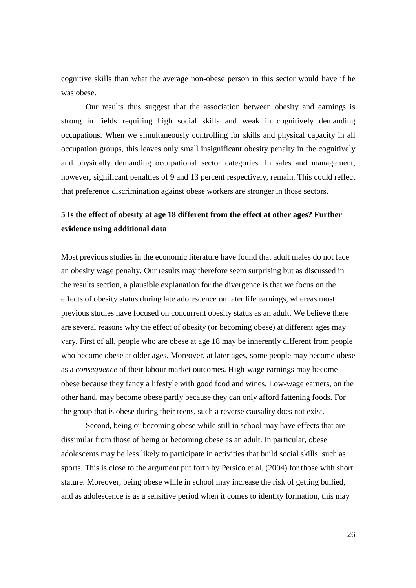cognitive skills than what the average non-obese person in this sector would have if he was obese.

 Our results thus suggest that the association between obesity and earnings is strong in fields requiring high social skills and weak in cognitively demanding occupations. When we simultaneously controlling for skills and physical capacity in all occupation groups, this leaves only small insignificant obesity penalty in the cognitively and physically demanding occupational sector categories. In sales and management, however, significant penalties of 9 and 13 percent respectively, remain. This could reflect that preference discrimination against obese workers are stronger in those sectors.

### **5 Is the effect of obesity at age 18 different from the effect at other ages? Further evidence using additional data**

Most previous studies in the economic literature have found that adult males do not face an obesity wage penalty. Our results may therefore seem surprising but as discussed in the results section, a plausible explanation for the divergence is that we focus on the effects of obesity status during late adolescence on later life earnings, whereas most previous studies have focused on concurrent obesity status as an adult. We believe there are several reasons why the effect of obesity (or becoming obese) at different ages may vary. First of all, people who are obese at age 18 may be inherently different from people who become obese at older ages. Moreover, at later ages, some people may become obese as a *consequence* of their labour market outcomes. High-wage earnings may become obese because they fancy a lifestyle with good food and wines. Low-wage earners, on the other hand, may become obese partly because they can only afford fattening foods. For the group that is obese during their teens, such a reverse causality does not exist.

 Second, being or becoming obese while still in school may have effects that are dissimilar from those of being or becoming obese as an adult. In particular, obese adolescents may be less likely to participate in activities that build social skills, such as sports. This is close to the argument put forth by Persico et al. (2004) for those with short stature. Moreover, being obese while in school may increase the risk of getting bullied, and as adolescence is as a sensitive period when it comes to identity formation, this may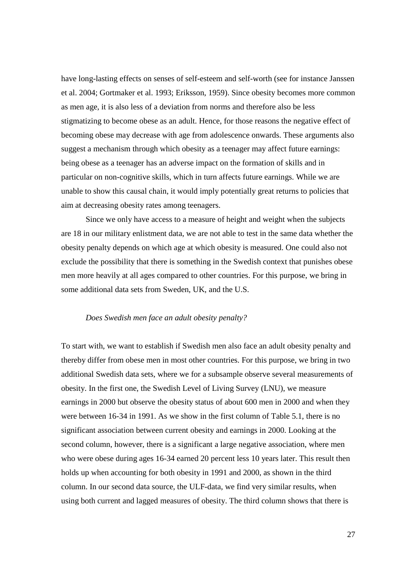have long-lasting effects on senses of self-esteem and self-worth (see for instance Janssen et al. 2004; Gortmaker et al. 1993; Eriksson, 1959). Since obesity becomes more common as men age, it is also less of a deviation from norms and therefore also be less stigmatizing to become obese as an adult. Hence, for those reasons the negative effect of becoming obese may decrease with age from adolescence onwards. These arguments also suggest a mechanism through which obesity as a teenager may affect future earnings: being obese as a teenager has an adverse impact on the formation of skills and in particular on non-cognitive skills, which in turn affects future earnings. While we are unable to show this causal chain, it would imply potentially great returns to policies that aim at decreasing obesity rates among teenagers.

 Since we only have access to a measure of height and weight when the subjects are 18 in our military enlistment data, we are not able to test in the same data whether the obesity penalty depends on which age at which obesity is measured. One could also not exclude the possibility that there is something in the Swedish context that punishes obese men more heavily at all ages compared to other countries. For this purpose, we bring in some additional data sets from Sweden, UK, and the U.S.

#### *Does Swedish men face an adult obesity penalty?*

To start with, we want to establish if Swedish men also face an adult obesity penalty and thereby differ from obese men in most other countries. For this purpose, we bring in two additional Swedish data sets, where we for a subsample observe several measurements of obesity. In the first one, the Swedish Level of Living Survey (LNU), we measure earnings in 2000 but observe the obesity status of about 600 men in 2000 and when they were between 16-34 in 1991. As we show in the first column of Table 5.1, there is no significant association between current obesity and earnings in 2000. Looking at the second column, however, there is a significant a large negative association, where men who were obese during ages 16-34 earned 20 percent less 10 years later. This result then holds up when accounting for both obesity in 1991 and 2000, as shown in the third column. In our second data source, the ULF-data, we find very similar results, when using both current and lagged measures of obesity. The third column shows that there is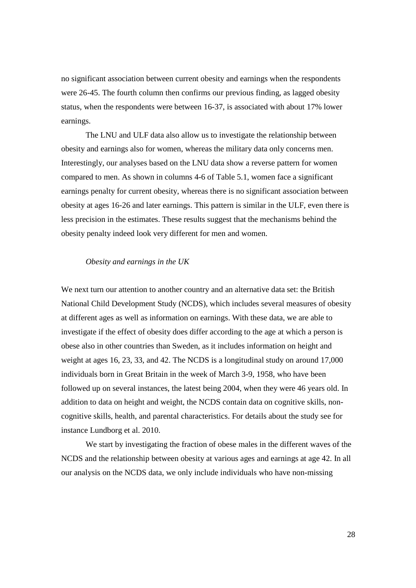no significant association between current obesity and earnings when the respondents were 26-45. The fourth column then confirms our previous finding, as lagged obesity status, when the respondents were between 16-37, is associated with about 17% lower earnings.

 The LNU and ULF data also allow us to investigate the relationship between obesity and earnings also for women, whereas the military data only concerns men. Interestingly, our analyses based on the LNU data show a reverse pattern for women compared to men. As shown in columns 4-6 of Table 5.1, women face a significant earnings penalty for current obesity, whereas there is no significant association between obesity at ages 16-26 and later earnings. This pattern is similar in the ULF, even there is less precision in the estimates. These results suggest that the mechanisms behind the obesity penalty indeed look very different for men and women.

#### *Obesity and earnings in the UK*

We next turn our attention to another country and an alternative data set: the British National Child Development Study (NCDS), which includes several measures of obesity at different ages as well as information on earnings. With these data, we are able to investigate if the effect of obesity does differ according to the age at which a person is obese also in other countries than Sweden, as it includes information on height and weight at ages 16, 23, 33, and 42. The NCDS is a longitudinal study on around 17,000 individuals born in Great Britain in the week of March 3-9, 1958, who have been followed up on several instances, the latest being 2004, when they were 46 years old. In addition to data on height and weight, the NCDS contain data on cognitive skills, noncognitive skills, health, and parental characteristics. For details about the study see for instance Lundborg et al. 2010.

 We start by investigating the fraction of obese males in the different waves of the NCDS and the relationship between obesity at various ages and earnings at age 42. In all our analysis on the NCDS data, we only include individuals who have non-missing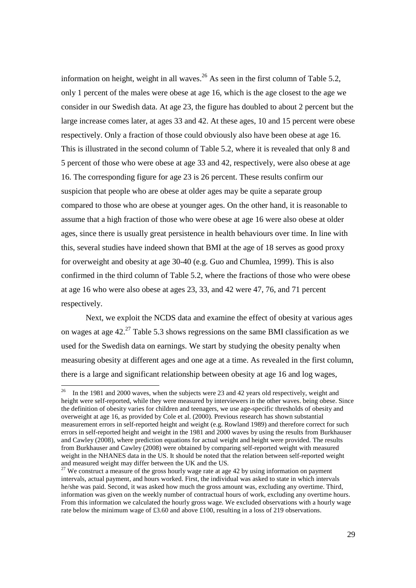information on height, weight in all waves.<sup>26</sup> As seen in the first column of Table 5.2, only 1 percent of the males were obese at age 16, which is the age closest to the age we consider in our Swedish data. At age 23, the figure has doubled to about 2 percent but the large increase comes later, at ages 33 and 42. At these ages, 10 and 15 percent were obese respectively. Only a fraction of those could obviously also have been obese at age 16. This is illustrated in the second column of Table 5.2, where it is revealed that only 8 and 5 percent of those who were obese at age 33 and 42, respectively, were also obese at age 16. The corresponding figure for age 23 is 26 percent. These results confirm our suspicion that people who are obese at older ages may be quite a separate group compared to those who are obese at younger ages. On the other hand, it is reasonable to assume that a high fraction of those who were obese at age 16 were also obese at older ages, since there is usually great persistence in health behaviours over time. In line with this, several studies have indeed shown that BMI at the age of 18 serves as good proxy for overweight and obesity at age 30-40 (e.g. Guo and Chumlea, 1999). This is also confirmed in the third column of Table 5.2, where the fractions of those who were obese at age 16 who were also obese at ages 23, 33, and 42 were 47, 76, and 71 percent respectively.

 Next, we exploit the NCDS data and examine the effect of obesity at various ages on wages at age  $42.^{27}$  Table 5.3 shows regressions on the same BMI classification as we used for the Swedish data on earnings. We start by studying the obesity penalty when measuring obesity at different ages and one age at a time. As revealed in the first column, there is a large and significant relationship between obesity at age 16 and log wages,

 $26\,$ <sup>26</sup> In the 1981 and 2000 waves, when the subjects were 23 and 42 years old respectively, weight and height were self-reported, while they were measured by interviewers in the other waves. being obese. Since the definition of obesity varies for children and teenagers, we use age-specific thresholds of obesity and overweight at age 16, as provided by Cole et al. (2000). Previous research has shown substantial measurement errors in self-reported height and weight (e.g. Rowland 1989) and therefore correct for such errors in self-reported height and weight in the 1981 and 2000 waves by using the results from Burkhauser and Cawley (2008), where prediction equations for actual weight and height were provided. The results from Burkhauser and Cawley (2008) were obtained by comparing self-reported weight with measured weight in the NHANES data in the US. It should be noted that the relation between self-reported weight and measured weight may differ between the UK and the US.

 $27$  We construct a measure of the gross hourly wage rate at age 42 by using information on payment intervals, actual payment, and hours worked. First, the individual was asked to state in which intervals he/she was paid. Second, it was asked how much the gross amount was, excluding any overtime. Third, information was given on the weekly number of contractual hours of work, excluding any overtime hours. From this information we calculated the hourly gross wage. We excluded observations with a hourly wage rate below the minimum wage of £3.60 and above £100, resulting in a loss of 219 observations.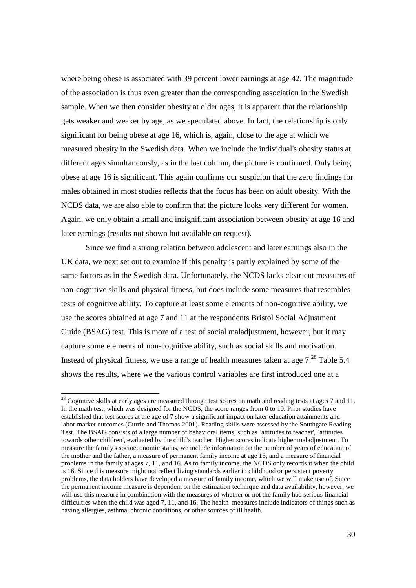where being obese is associated with 39 percent lower earnings at age 42. The magnitude of the association is thus even greater than the corresponding association in the Swedish sample. When we then consider obesity at older ages, it is apparent that the relationship gets weaker and weaker by age, as we speculated above. In fact, the relationship is only significant for being obese at age 16, which is, again, close to the age at which we measured obesity in the Swedish data. When we include the individual's obesity status at different ages simultaneously, as in the last column, the picture is confirmed. Only being obese at age 16 is significant. This again confirms our suspicion that the zero findings for males obtained in most studies reflects that the focus has been on adult obesity. With the NCDS data, we are also able to confirm that the picture looks very different for women. Again, we only obtain a small and insignificant association between obesity at age 16 and later earnings (results not shown but available on request).

 Since we find a strong relation between adolescent and later earnings also in the UK data, we next set out to examine if this penalty is partly explained by some of the same factors as in the Swedish data. Unfortunately, the NCDS lacks clear-cut measures of non-cognitive skills and physical fitness, but does include some measures that resembles tests of cognitive ability. To capture at least some elements of non-cognitive ability, we use the scores obtained at age 7 and 11 at the respondents Bristol Social Adjustment Guide (BSAG) test. This is more of a test of social maladjustment, however, but it may capture some elements of non-cognitive ability, such as social skills and motivation. Instead of physical fitness, we use a range of health measures taken at age  $7.^{28}$  Table 5.4 shows the results, where we the various control variables are first introduced one at a

 $\overline{a}$ 

 $^{28}$  Cognitive skills at early ages are measured through test scores on math and reading tests at ages 7 and 11. In the math test, which was designed for the NCDS, the score ranges from 0 to 10. Prior studies have established that test scores at the age of 7 show a significant impact on later education attainments and labor market outcomes (Currie and Thomas 2001). Reading skills were assessed by the Southgate Reading Test. The BSAG consists of a large number of behavioral items, such as `attitudes to teacher', `attitudes towards other children', evaluated by the child's teacher. Higher scores indicate higher maladjustment. To measure the family's socioeconomic status, we include information on the number of years of education of the mother and the father, a measure of permanent family income at age 16, and a measure of financial problems in the family at ages 7, 11, and 16. As to family income, the NCDS only records it when the child is 16. Since this measure might not reflect living standards earlier in childhood or persistent poverty problems, the data holders have developed a measure of family income, which we will make use of. Since the permanent income measure is dependent on the estimation technique and data availability, however, we will use this measure in combination with the measures of whether or not the family had serious financial difficulties when the child was aged 7, 11, and 16. The health measures include indicators of things such as having allergies, asthma, chronic conditions, or other sources of ill health.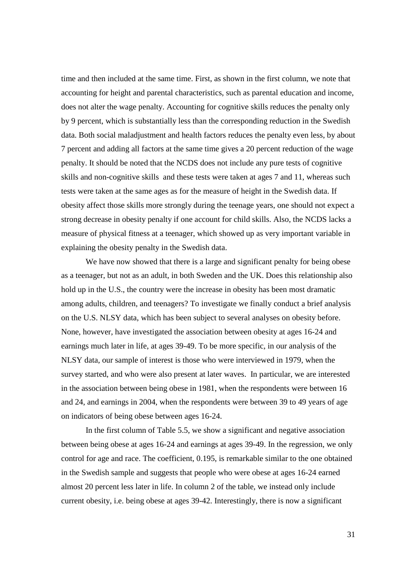time and then included at the same time. First, as shown in the first column, we note that accounting for height and parental characteristics, such as parental education and income, does not alter the wage penalty. Accounting for cognitive skills reduces the penalty only by 9 percent, which is substantially less than the corresponding reduction in the Swedish data. Both social maladjustment and health factors reduces the penalty even less, by about 7 percent and adding all factors at the same time gives a 20 percent reduction of the wage penalty. It should be noted that the NCDS does not include any pure tests of cognitive skills and non-cognitive skills and these tests were taken at ages 7 and 11, whereas such tests were taken at the same ages as for the measure of height in the Swedish data. If obesity affect those skills more strongly during the teenage years, one should not expect a strong decrease in obesity penalty if one account for child skills. Also, the NCDS lacks a measure of physical fitness at a teenager, which showed up as very important variable in explaining the obesity penalty in the Swedish data.

We have now showed that there is a large and significant penalty for being obese as a teenager, but not as an adult, in both Sweden and the UK. Does this relationship also hold up in the U.S., the country were the increase in obesity has been most dramatic among adults, children, and teenagers? To investigate we finally conduct a brief analysis on the U.S. NLSY data, which has been subject to several analyses on obesity before. None, however, have investigated the association between obesity at ages 16-24 and earnings much later in life, at ages 39-49. To be more specific, in our analysis of the NLSY data, our sample of interest is those who were interviewed in 1979, when the survey started, and who were also present at later waves. In particular, we are interested in the association between being obese in 1981, when the respondents were between 16 and 24, and earnings in 2004, when the respondents were between 39 to 49 years of age on indicators of being obese between ages 16-24.

 In the first column of Table 5.5, we show a significant and negative association between being obese at ages 16-24 and earnings at ages 39-49. In the regression, we only control for age and race. The coefficient, 0.195, is remarkable similar to the one obtained in the Swedish sample and suggests that people who were obese at ages 16-24 earned almost 20 percent less later in life. In column 2 of the table, we instead only include current obesity, i.e. being obese at ages 39-42. Interestingly, there is now a significant

31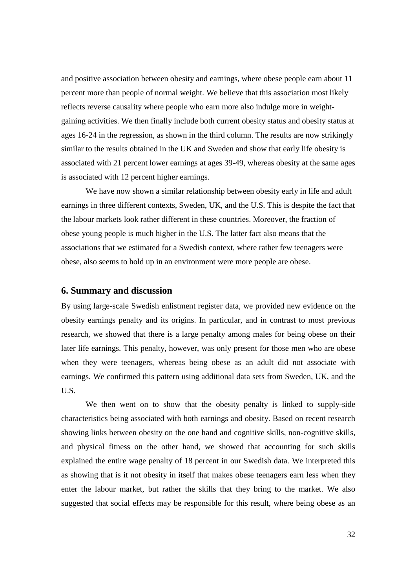and positive association between obesity and earnings, where obese people earn about 11 percent more than people of normal weight. We believe that this association most likely reflects reverse causality where people who earn more also indulge more in weightgaining activities. We then finally include both current obesity status and obesity status at ages 16-24 in the regression, as shown in the third column. The results are now strikingly similar to the results obtained in the UK and Sweden and show that early life obesity is associated with 21 percent lower earnings at ages 39-49, whereas obesity at the same ages is associated with 12 percent higher earnings.

 We have now shown a similar relationship between obesity early in life and adult earnings in three different contexts, Sweden, UK, and the U.S. This is despite the fact that the labour markets look rather different in these countries. Moreover, the fraction of obese young people is much higher in the U.S. The latter fact also means that the associations that we estimated for a Swedish context, where rather few teenagers were obese, also seems to hold up in an environment were more people are obese.

#### **6. Summary and discussion**

By using large-scale Swedish enlistment register data, we provided new evidence on the obesity earnings penalty and its origins. In particular, and in contrast to most previous research, we showed that there is a large penalty among males for being obese on their later life earnings. This penalty, however, was only present for those men who are obese when they were teenagers, whereas being obese as an adult did not associate with earnings. We confirmed this pattern using additional data sets from Sweden, UK, and the U.S.

 We then went on to show that the obesity penalty is linked to supply-side characteristics being associated with both earnings and obesity. Based on recent research showing links between obesity on the one hand and cognitive skills, non-cognitive skills, and physical fitness on the other hand, we showed that accounting for such skills explained the entire wage penalty of 18 percent in our Swedish data. We interpreted this as showing that is it not obesity in itself that makes obese teenagers earn less when they enter the labour market, but rather the skills that they bring to the market. We also suggested that social effects may be responsible for this result, where being obese as an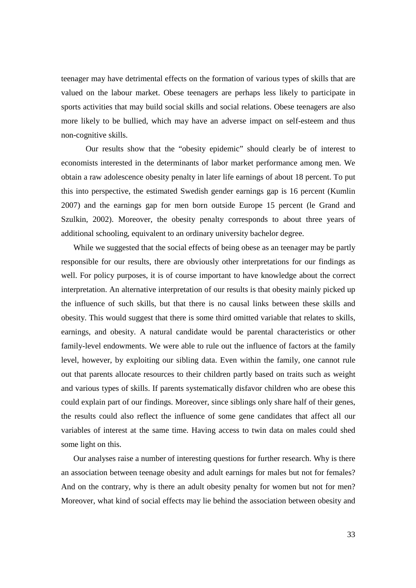teenager may have detrimental effects on the formation of various types of skills that are valued on the labour market. Obese teenagers are perhaps less likely to participate in sports activities that may build social skills and social relations. Obese teenagers are also more likely to be bullied, which may have an adverse impact on self-esteem and thus non-cognitive skills.

 Our results show that the "obesity epidemic" should clearly be of interest to economists interested in the determinants of labor market performance among men. We obtain a raw adolescence obesity penalty in later life earnings of about 18 percent. To put this into perspective, the estimated Swedish gender earnings gap is 16 percent (Kumlin 2007) and the earnings gap for men born outside Europe 15 percent (le Grand and Szulkin, 2002). Moreover, the obesity penalty corresponds to about three years of additional schooling, equivalent to an ordinary university bachelor degree.

While we suggested that the social effects of being obese as an teenager may be partly responsible for our results, there are obviously other interpretations for our findings as well. For policy purposes, it is of course important to have knowledge about the correct interpretation. An alternative interpretation of our results is that obesity mainly picked up the influence of such skills, but that there is no causal links between these skills and obesity. This would suggest that there is some third omitted variable that relates to skills, earnings, and obesity. A natural candidate would be parental characteristics or other family-level endowments. We were able to rule out the influence of factors at the family level, however, by exploiting our sibling data. Even within the family, one cannot rule out that parents allocate resources to their children partly based on traits such as weight and various types of skills. If parents systematically disfavor children who are obese this could explain part of our findings. Moreover, since siblings only share half of their genes, the results could also reflect the influence of some gene candidates that affect all our variables of interest at the same time. Having access to twin data on males could shed some light on this.

Our analyses raise a number of interesting questions for further research. Why is there an association between teenage obesity and adult earnings for males but not for females? And on the contrary, why is there an adult obesity penalty for women but not for men? Moreover, what kind of social effects may lie behind the association between obesity and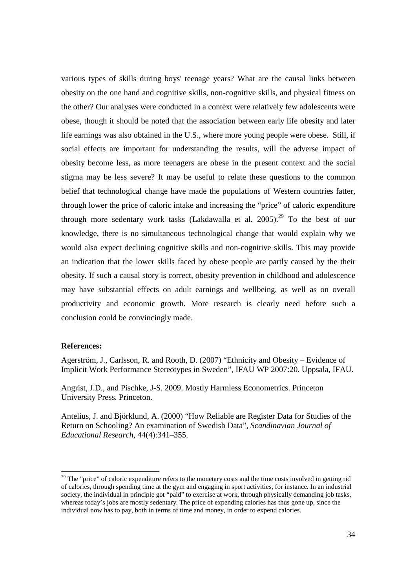various types of skills during boys' teenage years? What are the causal links between obesity on the one hand and cognitive skills, non-cognitive skills, and physical fitness on the other? Our analyses were conducted in a context were relatively few adolescents were obese, though it should be noted that the association between early life obesity and later life earnings was also obtained in the U.S., where more young people were obese. Still, if social effects are important for understanding the results, will the adverse impact of obesity become less, as more teenagers are obese in the present context and the social stigma may be less severe? It may be useful to relate these questions to the common belief that technological change have made the populations of Western countries fatter, through lower the price of caloric intake and increasing the "price" of caloric expenditure through more sedentary work tasks (Lakdawalla et al.  $2005$ ).<sup>29</sup> To the best of our knowledge, there is no simultaneous technological change that would explain why we would also expect declining cognitive skills and non-cognitive skills. This may provide an indication that the lower skills faced by obese people are partly caused by the their obesity. If such a causal story is correct, obesity prevention in childhood and adolescence may have substantial effects on adult earnings and wellbeing, as well as on overall productivity and economic growth. More research is clearly need before such a conclusion could be convincingly made.

#### **References:**

l

Agerström, J., Carlsson, R. and Rooth, D. (2007) "Ethnicity and Obesity – Evidence of Implicit Work Performance Stereotypes in Sweden", IFAU WP 2007:20. Uppsala, IFAU.

Angrist, J.D., and Pischke, J-S. 2009. Mostly Harmless Econometrics. Princeton University Press. Princeton.

Antelius, J. and Björklund, A. (2000) "How Reliable are Register Data for Studies of the Return on Schooling? An examination of Swedish Data", *Scandinavian Journal of Educational Research*, 44(4):341–355.

 $29$  The "price" of caloric expenditure refers to the monetary costs and the time costs involved in getting rid of calories, through spending time at the gym and engaging in sport activities, for instance. In an industrial society, the individual in principle got "paid" to exercise at work, through physically demanding job tasks, whereas today's jobs are mostly sedentary. The price of expending calories has thus gone up, since the individual now has to pay, both in terms of time and money, in order to expend calories.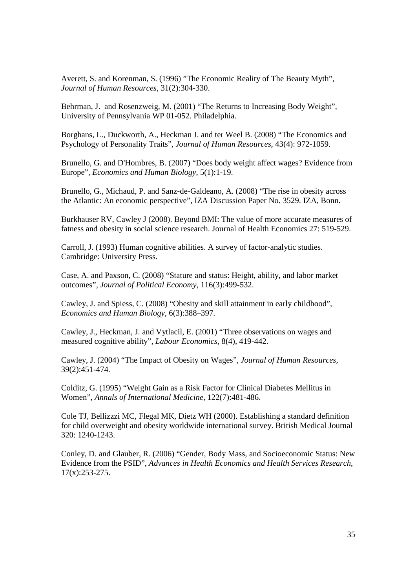Averett, S. and Korenman, S. (1996) "The Economic Reality of The Beauty Myth", *Journal of Human Resources*, 31(2):304-330.

Behrman, J. and Rosenzweig, M. (2001) "The Returns to Increasing Body Weight", University of Pennsylvania WP 01-052. Philadelphia.

Borghans, L., Duckworth, A., Heckman J. and ter Weel B. (2008) "The Economics and Psychology of Personality Traits", *Journal of Human Resources*, 43(4): 972-1059.

Brunello, G. and D'Hombres, B. (2007) "Does body weight affect wages? Evidence from Europe", *Economics and Human Biology*, 5(1):1-19.

Brunello, G., Michaud, P. and Sanz-de-Galdeano, A. (2008) "The rise in obesity across the Atlantic: An economic perspective", IZA Discussion Paper No. 3529. IZA, Bonn.

Burkhauser RV, Cawley J (2008). Beyond BMI: The value of more accurate measures of fatness and obesity in social science research. Journal of Health Economics 27: 519-529.

Carroll, J. (1993) Human cognitive abilities. A survey of factor-analytic studies. Cambridge: University Press.

Case, A. and Paxson, C. (2008) "Stature and status: Height, ability, and labor market outcomes", *Journal of Political Economy*, 116(3):499-532.

Cawley, J. and Spiess, C. (2008) "Obesity and skill attainment in early childhood", *Economics and Human Biology*, 6(3):388–397.

Cawley, J., Heckman, J. and Vytlacil, E. (2001) "Three observations on wages and measured cognitive ability", *Labour Economics*, 8(4), 419-442.

Cawley, J. (2004) "The Impact of Obesity on Wages", *Journal of Human Resources*, 39(2):451-474.

Colditz, G. (1995) "Weight Gain as a Risk Factor for Clinical Diabetes Mellitus in Women", *Annals of International Medicine,* 122(7):481-486.

Cole TJ, Bellizzzi MC, Flegal MK, Dietz WH (2000). Establishing a standard definition for child overweight and obesity worldwide international survey. British Medical Journal 320: 1240-1243.

Conley, D. and Glauber, R. (2006) "Gender, Body Mass, and Socioeconomic Status: New Evidence from the PSID", *Advances in Health Economics and Health Services Research*, 17(x):253-275.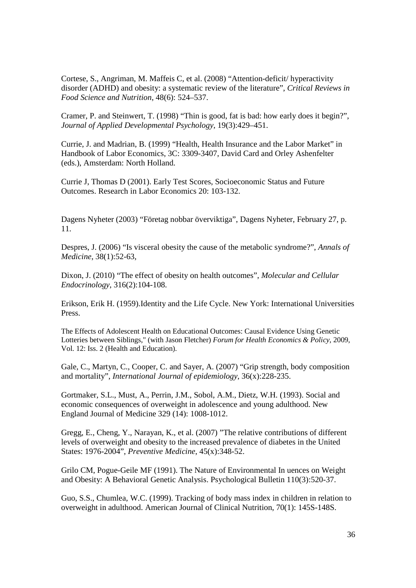Cortese, S., Angriman, M. Maffeis C, et al. (2008) "Attention-deficit/ hyperactivity disorder (ADHD) and obesity: a systematic review of the literature", *Critical Reviews in Food Science and Nutrition*, 48(6): 524–537.

Cramer, P. and Steinwert, T. (1998) "Thin is good, fat is bad: how early does it begin?", *Journal of Applied Developmental Psychology*, 19(3):429–451.

Currie, J. and Madrian, B. (1999) "Health, Health Insurance and the Labor Market" in Handbook of Labor Economics, 3C: 3309-3407, David Card and Orley Ashenfelter (eds.), Amsterdam: North Holland.

Currie J, Thomas D (2001). Early Test Scores, Socioeconomic Status and Future Outcomes. Research in Labor Economics 20: 103-132.

Dagens Nyheter (2003) "Företag nobbar överviktiga", Dagens Nyheter, February 27, p. 11.

Despres, J. (2006) "Is visceral obesity the cause of the metabolic syndrome?", *Annals of Medicine*, 38(1):52-63,

Dixon, J. (2010) "The effect of obesity on health outcomes", *Molecular and Cellular Endocrinology*, 316(2):104-108.

Erikson, Erik H. (1959).Identity and the Life Cycle. New York: International Universities Press.

The Effects of Adolescent Health on Educational Outcomes: Causal Evidence Using Genetic Lotteries between Siblings," (with Jason Fletcher) *Forum for Health Economics & Policy*, 2009, Vol. 12: Iss. 2 (Health and Education).

Gale, C., Martyn, C., Cooper, C. and Sayer, A. (2007) "Grip strength, body composition and mortality", *International Journal of epidemiology*, 36(x):228-235.

Gortmaker, S.L., Must, A., Perrin, J.M., Sobol, A.M., Dietz, W.H. (1993). Social and economic consequences of overweight in adolescence and young adulthood. New England Journal of Medicine 329 (14): 1008-1012.

Gregg, E., Cheng, Y., Narayan, K., et al. (2007) "The relative contributions of different levels of overweight and obesity to the increased prevalence of diabetes in the United States: 1976-2004", *Preventive Medicine*, 45(x):348-52.

Grilo CM, Pogue-Geile MF (1991). The Nature of Environmental In uences on Weight and Obesity: A Behavioral Genetic Analysis. Psychological Bulletin 110(3):520-37.

Guo, S.S., Chumlea, W.C. (1999). Tracking of body mass index in children in relation to overweight in adulthood. American Journal of Clinical Nutrition, 70(1): 145S-148S.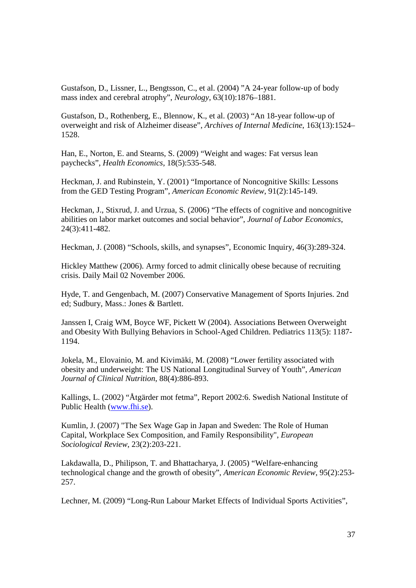Gustafson, D., Lissner, L., Bengtsson, C., et al. (2004) "A 24-year follow-up of body mass index and cerebral atrophy", *Neurology*, 63(10):1876–1881.

Gustafson, D., Rothenberg, E., Blennow, K., et al. (2003) "An 18-year follow-up of overweight and risk of Alzheimer disease", *Archives of Internal Medicine*, 163(13):1524– 1528.

Han, E., Norton, E. and Stearns, S. (2009) "Weight and wages: Fat versus lean paychecks", *Health Economics*, 18(5):535-548.

Heckman, J. and Rubinstein, Y. (2001) "Importance of Noncognitive Skills: Lessons from the GED Testing Program", *American Economic Review*, 91(2):145-149.

Heckman, J., Stixrud, J. and Urzua, S. (2006) "The effects of cognitive and noncognitive abilities on labor market outcomes and social behavior", *Journal of Labor Economics*, 24(3):411-482.

Heckman, J. (2008) "Schools, skills, and synapses", Economic Inquiry, 46(3):289-324.

Hickley Matthew (2006). Army forced to admit clinically obese because of recruiting crisis. Daily Mail 02 November 2006.

Hyde, T. and Gengenbach, M. (2007) Conservative Management of Sports Injuries. 2nd ed; Sudbury, Mass.: Jones & Bartlett.

Janssen I, Craig WM, Boyce WF, Pickett W (2004). Associations Between Overweight and Obesity With Bullying Behaviors in School-Aged Children. Pediatrics 113(5): 1187- 1194.

Jokela, M., Elovainio, M. and Kivimäki, M. (2008) "Lower fertility associated with obesity and underweight: The US National Longitudinal Survey of Youth", *American Journal of Clinical Nutrition*, 88(4):886-893.

Kallings, L. (2002) "Åtgärder mot fetma", Report 2002:6. Swedish National Institute of Public Health (www.fhi.se).

Kumlin, J. (2007) "The Sex Wage Gap in Japan and Sweden: The Role of Human Capital, Workplace Sex Composition, and Family Responsibility", *European Sociological Review*, 23(2):203-221.

Lakdawalla, D., Philipson, T. and Bhattacharya, J. (2005) "Welfare-enhancing technological change and the growth of obesity", *American Economic Review*, 95(2):253- 257.

Lechner, M. (2009) "Long-Run Labour Market Effects of Individual Sports Activities",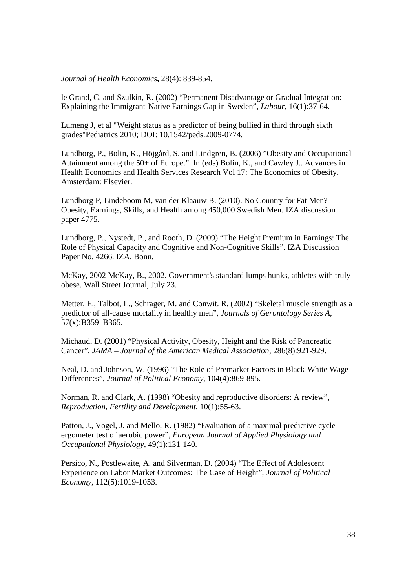*Journal of Health Economics***,** 28(4): 839-854.

le Grand, C. and Szulkin, R. (2002) "Permanent Disadvantage or Gradual Integration: Explaining the Immigrant-Native Earnings Gap in Sweden", *Labour*, 16(1):37-64.

Lumeng J, et al "Weight status as a predictor of being bullied in third through sixth grades"Pediatrics 2010; DOI: 10.1542/peds.2009-0774.

Lundborg, P., Bolin, K., Höjgård, S. and Lindgren, B. (2006) "Obesity and Occupational Attainment among the 50+ of Europe.". In (eds) Bolin, K., and Cawley J.. Advances in Health Economics and Health Services Research Vol 17: The Economics of Obesity. Amsterdam: Elsevier.

Lundborg P, Lindeboom M, van der Klaauw B. (2010). No Country for Fat Men? Obesity, Earnings, Skills, and Health among 450,000 Swedish Men. IZA discussion paper 4775.

Lundborg, P., Nystedt, P., and Rooth, D. (2009) "The Height Premium in Earnings: The Role of Physical Capacity and Cognitive and Non-Cognitive Skills". IZA Discussion Paper No. 4266. IZA, Bonn.

McKay, 2002 McKay, B., 2002. Government's standard lumps hunks, athletes with truly obese. Wall Street Journal, July 23.

Metter, E., Talbot, L., Schrager, M. and Conwit. R. (2002) "Skeletal muscle strength as a predictor of all-cause mortality in healthy men", *Journals of Gerontology Series A,* 57(x):B359–B365.

Michaud, D. (2001) "Physical Activity, Obesity, Height and the Risk of Pancreatic Cancer", *JAMA – Journal of the American Medical Association*, 286(8):921-929.

Neal, D. and Johnson, W. (1996) "The Role of Premarket Factors in Black-White Wage Differences", *Journal of Political Economy*, 104(4):869-895.

Norman, R. and Clark, A. (1998) "Obesity and reproductive disorders: A review", *Reproduction, Fertility and Development*, 10(1):55-63.

Patton, J., Vogel, J. and Mello, R. (1982) "Evaluation of a maximal predictive cycle ergometer test of aerobic power", *European Journal of Applied Physiology and Occupational Physiology*, 49(1):131-140.

Persico, N., Postlewaite, A. and Silverman, D. (2004) "The Effect of Adolescent Experience on Labor Market Outcomes: The Case of Height", *Journal of Political Economy*, 112(5):1019-1053.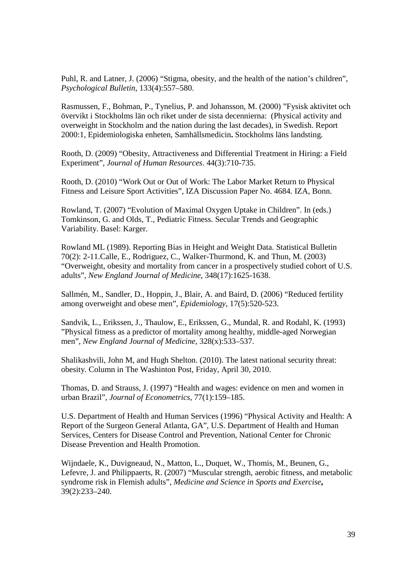Puhl, R. and Latner, J. (2006) "Stigma, obesity, and the health of the nation's children", *Psychological Bulletin*, 133(4):557–580.

Rasmussen, F., Bohman, P., Tynelius, P. and Johansson, M. (2000) "Fysisk aktivitet och övervikt i Stockholms län och riket under de sista decennierna: (Physical activity and overweight in Stockholm and the nation during the last decades), in Swedish. Report 2000:1, Epidemiologiska enheten, Samhällsmedicin**.** Stockholms läns landsting.

Rooth, D. (2009) "Obesity, Attractiveness and Differential Treatment in Hiring: a Field Experiment", *Journal of Human Resources*. 44(3):710-735.

Rooth, D. (2010) "Work Out or Out of Work: The Labor Market Return to Physical Fitness and Leisure Sport Activities", IZA Discussion Paper No. 4684. IZA, Bonn.

Rowland, T. (2007) "Evolution of Maximal Oxygen Uptake in Children". In (eds.) Tomkinson, G. and Olds, T., Pediatric Fitness. Secular Trends and Geographic Variability. Basel: Karger.

Rowland ML (1989). Reporting Bias in Height and Weight Data. Statistical Bulletin 70(2): 2-11.Calle, E., Rodriguez, C., Walker-Thurmond, K. and Thun, M. (2003) "Overweight, obesity and mortality from cancer in a prospectively studied cohort of U.S. adults", *New England Journal of Medicine*, 348(17):1625-1638.

Sallmén, M., Sandler, D., Hoppin, J., Blair, A. and Baird, D. (2006) "Reduced fertility among overweight and obese men", *Epidemiology*, 17(5):520-523.

Sandvik, L., Erikssen, J., Thaulow, E., Erikssen, G., Mundal, R. and Rodahl, K. (1993) "Physical fitness as a predictor of mortality among healthy, middle-aged Norwegian men", *New England Journal of Medicine*, 328(x):533–537.

Shalikashvili, John M, and Hugh Shelton. (2010). The latest national security threat: obesity. Column in The Washinton Post, Friday, April 30, 2010.

Thomas, D. and Strauss, J. (1997) "Health and wages: evidence on men and women in urban Brazil", *Journal of Econometrics*, 77(1):159–185.

U.S. Department of Health and Human Services (1996) "Physical Activity and Health: A Report of the Surgeon General Atlanta, GA", U.S. Department of Health and Human Services, Centers for Disease Control and Prevention, National Center for Chronic Disease Prevention and Health Promotion.

Wijndaele, K., Duvigneaud, N., Matton, L., Duquet, W., Thomis, M., Beunen, G., Lefevre, J. and Philippaerts, R. (2007) "Muscular strength, aerobic fitness, and metabolic syndrome risk in Flemish adults", *Medicine and Science in Sports and Exercise***,**  39(2):233–240.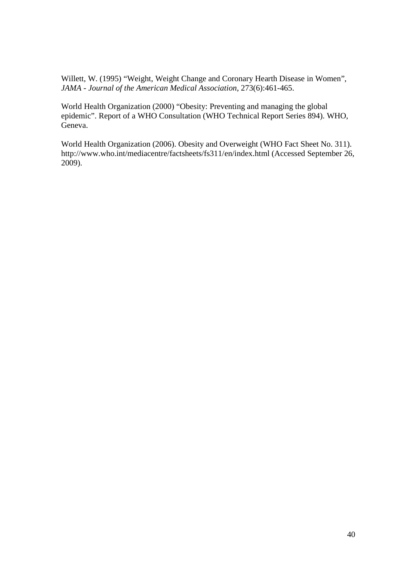Willett, W. (1995) "Weight, Weight Change and Coronary Hearth Disease in Women", *JAMA - Journal of the American Medical Association*, 273(6):461-465.

World Health Organization (2000) "Obesity: Preventing and managing the global epidemic". Report of a WHO Consultation (WHO Technical Report Series 894). WHO, Geneva.

World Health Organization (2006). Obesity and Overweight (WHO Fact Sheet No. 311). http://www.who.int/mediacentre/factsheets/fs311/en/index.html (Accessed September 26, 2009).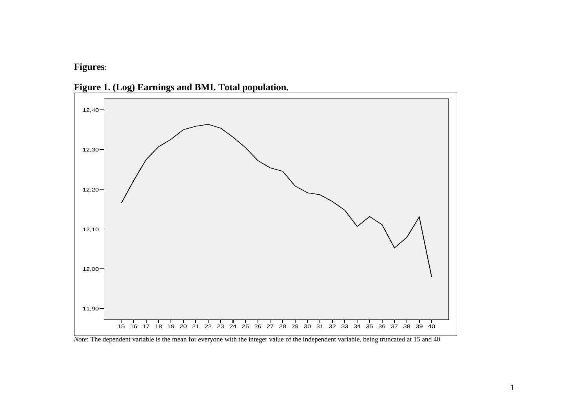**Figures**:





*Note*: The dependent variable is the mean for everyone with the integer value of the independent variable, being truncated at 15 and 40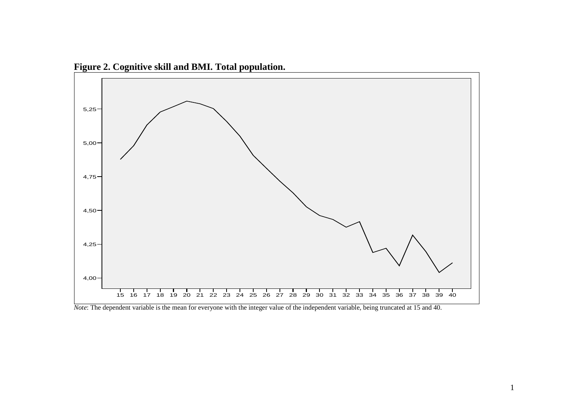

**Figure 2. Cognitive skill and BMI. Total population.** 

*Note*: The dependent variable is the mean for everyone with the integer value of the independent variable, being truncated at 15 and 40.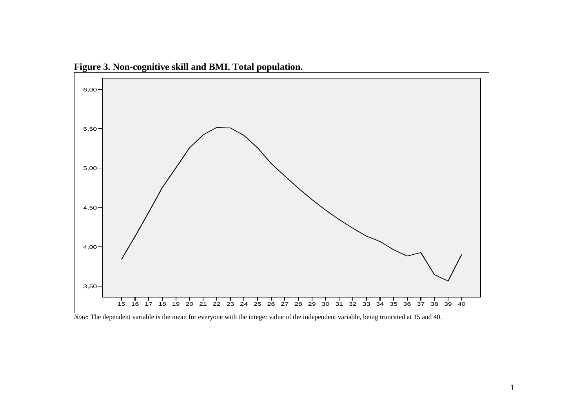

**Figure 3. Non-cognitive skill and BMI. Total population.** 

*Note*: The dependent variable is the mean for everyone with the integer value of the independent variable, being truncated at 15 and 40.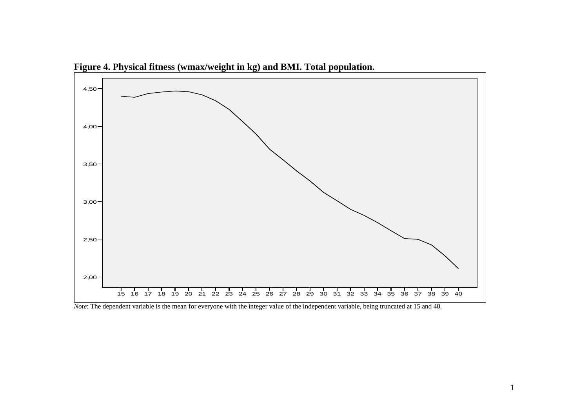

**Figure 4. Physical fitness (wmax/weight in kg) and BMI. Total population.** 

*Note*: The dependent variable is the mean for everyone with the integer value of the independent variable, being truncated at 15 and 40.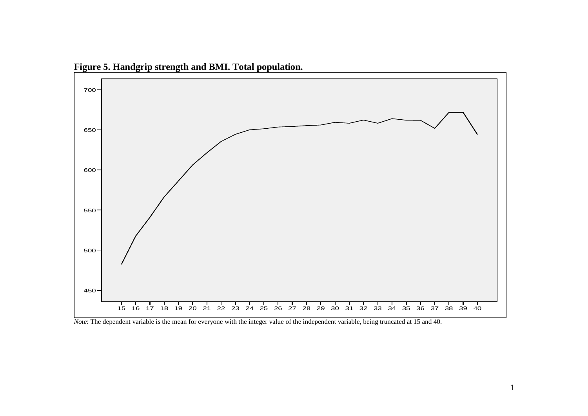

**Figure 5. Handgrip strength and BMI. Total population.** 

*Note*: The dependent variable is the mean for everyone with the integer value of the independent variable, being truncated at 15 and 40.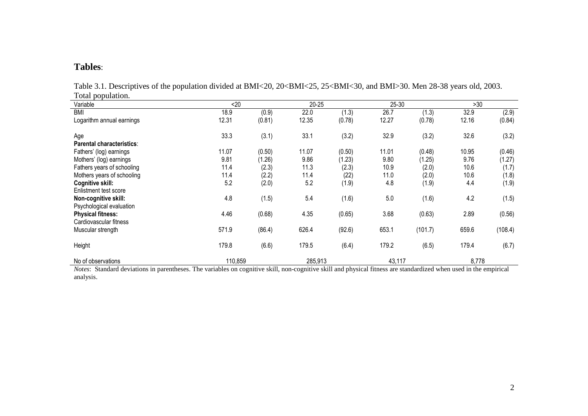#### **Tables**:

| Total population.          |         |        |           |        |        |         |       |         |
|----------------------------|---------|--------|-----------|--------|--------|---------|-------|---------|
| Variable                   | $20$    |        | $20 - 25$ |        | 25-30  |         | >30   |         |
| <b>BMI</b>                 | 18.9    | (0.9)  | 22.0      | (1.3)  | 26.7   | (1.3)   | 32.9  | (2.9)   |
| Logarithm annual earnings  | 12.31   | (0.81) | 12.35     | (0.78) | 12.27  | (0.78)  | 12.16 | (0.84)  |
| Age                        | 33.3    | (3.1)  | 33.1      | (3.2)  | 32.9   | (3.2)   | 32.6  | (3.2)   |
| Parental characteristics:  |         |        |           |        |        |         |       |         |
| Fathers' (log) earnings    | 11.07   | (0.50) | 11.07     | (0.50) | 11.01  | (0.48)  | 10.95 | (0.46)  |
| Mothers' (log) earnings    | 9.81    | (1.26) | 9.86      | (1.23) | 9.80   | (1.25)  | 9.76  | (1.27)  |
| Fathers years of schooling | 11.4    | (2.3)  | 11.3      | (2.3)  | 10.9   | (2.0)   | 10.6  | (1.7)   |
| Mothers years of schooling | 11.4    | (2.2)  | 11.4      | (22)   | 11.0   | (2.0)   | 10.6  | (1.8)   |
| Cognitive skill:           | 5.2     | (2.0)  | 5.2       | (1.9)  | 4.8    | (1.9)   | 4.4   | (1.9)   |
| Enlistment test score      |         |        |           |        |        |         |       |         |
| Non-cognitive skill:       | 4.8     | (1.5)  | 5.4       | (1.6)  | 5.0    | (1.6)   | 4.2   | (1.5)   |
| Psychological evaluation   |         |        |           |        |        |         |       |         |
| <b>Physical fitness:</b>   | 4.46    | (0.68) | 4.35      | (0.65) | 3.68   | (0.63)  | 2.89  | (0.56)  |
| Cardiovascular fitness     |         |        |           |        |        |         |       |         |
| Muscular strength          | 571.9   | (86.4) | 626.4     | (92.6) | 653.1  | (101.7) | 659.6 | (108.4) |
| Height                     | 179.8   | (6.6)  | 179.5     | (6.4)  | 179.2  | (6.5)   | 179.4 | (6.7)   |
| No of observations         | 110,859 |        | 285,913   |        | 43,117 |         | 8,778 |         |

Table 3.1. Descriptives of the population divided at BMI<20, 20<BMI<25, 25<BMI<30, and BMI>30. Men 28-38 years old, 2003. Total population.

*Notes*: Standard deviations in parentheses. The variables on cognitive skill, non-cognitive skill and physical fitness are standardized when used in the empirical analysis.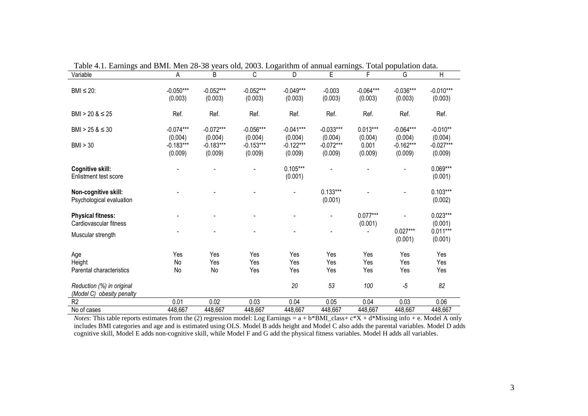| Tuble 4.1. Barnings and Bivil. Men 20-90 years old, 2009. Equitain of annual carmigs. Four population data.<br>Variable | А                      | B                      | $\overline{C}$         | $\overline{D}$         | E                      | F                      | G                      | $\overline{\mathsf{H}}$ |
|-------------------------------------------------------------------------------------------------------------------------|------------------------|------------------------|------------------------|------------------------|------------------------|------------------------|------------------------|-------------------------|
| $BMI \leq 20$ :                                                                                                         | $-0.050***$<br>(0.003) | $-0.052***$<br>(0.003) | $-0.052***$<br>(0.003) | $-0.049***$<br>(0.003) | $-0.003$<br>(0.003)    | $-0.064***$<br>(0.003) | $-0.036***$<br>(0.003) | $-0.010***$<br>(0.003)  |
| BMI > 20 $<$ 25                                                                                                         | Ref.                   | Ref.                   | Ref.                   | Ref.                   | Ref.                   | Ref.                   | Ref.                   | Ref.                    |
| BMI > 25 & $\leq$ 30                                                                                                    | $-0.074***$<br>(0.004) | $-0.072***$<br>(0.004) | $-0.056***$<br>(0.004) | $-0.041***$<br>(0.004) | $-0.033***$<br>(0.004) | $0.013***$<br>(0.004)  | $-0.064***$<br>(0.004) | $-0.010**$<br>(0.004)   |
| BMI > 30                                                                                                                | $-0.183***$<br>(0.009) | $-0.183***$<br>(0.009) | $-0.153***$<br>(0.009) | $-0.122***$<br>(0.009) | $-0.072***$<br>(0.009) | 0.001<br>(0.009)       | $-0.162***$<br>(0.009) | $-0.027***$<br>(0.009)  |
| Cognitive skill:<br>Enlistment test score                                                                               |                        |                        |                        | $0.105***$<br>(0.001)  |                        |                        |                        | $0.069***$<br>(0.001)   |
| Non-cognitive skill:<br>Psychological evaluation                                                                        |                        |                        |                        |                        | $0.133***$<br>(0.001)  |                        |                        | $0.103***$<br>(0.002)   |
| <b>Physical fitness:</b><br>Cardiovascular fitness                                                                      |                        |                        |                        |                        |                        | $0.077***$<br>(0.001)  |                        | $0.023***$<br>(0.001)   |
| Muscular strength                                                                                                       |                        |                        |                        |                        |                        |                        | $0.027***$<br>(0.001)  | $0.011***$<br>(0.001)   |
| Age                                                                                                                     | Yes                    | Yes                    | Yes                    | Yes                    | Yes                    | Yes                    | Yes                    | Yes                     |
| Height                                                                                                                  | No                     | Yes                    | Yes                    | Yes                    | Yes                    | Yes                    | Yes                    | Yes                     |
| Parental characteristics                                                                                                | No                     | No                     | Yes                    | Yes                    | Yes                    | Yes                    | Yes                    | Yes                     |
| Reduction (%) in original<br>(Model C) obesity penalty                                                                  |                        |                        |                        | 20                     | 53                     | 100                    | $-5$                   | 82                      |
| R <sub>2</sub>                                                                                                          | 0.01                   | 0.02                   | 0.03                   | 0.04                   | 0.05                   | 0.04                   | 0.03                   | 0.06                    |
| No of cases                                                                                                             | 448,667                | 448,667                | 448,667                | 448,667                | 448,667                | 448,667                | 448,667                | 448,667                 |

Table 4.1. Earnings and BMI. Men 28-38 years old, 2003. Logarithm of annual earnings. Total population data.

*Notes*: This table reports estimates from the (2) regression model: Log Earnings = a + b\*BMI\_class+ c\*X + d\*Missing info + e. Model A only includes BMI categories and age and is estimated using OLS. Model B adds height and Model C also adds the parental variables. Model D adds cognitive skill, Model E adds non-cognitive skill, while Model F and G add the physical fitness variables. Model H adds all variables.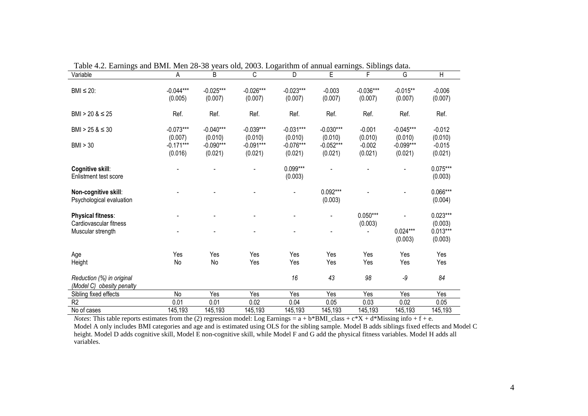| Variable                                               | A                      | B                      | C                      | D                      | E                      | F                      | G                      | Н                     |
|--------------------------------------------------------|------------------------|------------------------|------------------------|------------------------|------------------------|------------------------|------------------------|-----------------------|
| BMI $\leq$ 20:                                         | $-0.044***$<br>(0.005) | $-0.025***$<br>(0.007) | $-0.026***$<br>(0.007) | $-0.023***$<br>(0.007) | $-0.003$<br>(0.007)    | $-0.036***$<br>(0.007) | $-0.015**$<br>(0.007)  | $-0.006$<br>(0.007)   |
| $BMI > 20 & 8 \leq 25$                                 | Ref.                   | Ref.                   | Ref.                   | Ref.                   | Ref.                   | Ref.                   | Ref.                   | Ref.                  |
| BMI > 25 & $\leq$ 30                                   | $-0.073***$<br>(0.007) | $-0.040***$<br>(0.010) | $-0.039***$<br>(0.010) | $-0.031***$<br>(0.010) | $-0.030***$<br>(0.010) | $-0.001$<br>(0.010)    | $-0.045***$<br>(0.010) | $-0.012$<br>(0.010)   |
| BMI > 30                                               | $-0.171***$<br>(0.016) | $-0.090***$<br>(0.021) | $-0.091***$<br>(0.021) | $-0.076***$<br>(0.021) | $-0.052***$<br>(0.021) | $-0.002$<br>(0.021)    | $-0.099***$<br>(0.021) | $-0.015$<br>(0.021)   |
| Cognitive skill:<br>Enlistment test score              |                        |                        |                        | 0.099***<br>(0.003)    |                        |                        |                        | $0.075***$<br>(0.003) |
| Non-cognitive skill:<br>Psychological evaluation       |                        |                        |                        |                        | $0.092***$<br>(0.003)  |                        |                        | 0.066***<br>(0.004)   |
| <b>Physical fitness:</b><br>Cardiovascular fitness     |                        |                        |                        |                        |                        | $0.050***$<br>(0.003)  |                        | $0.023***$<br>(0.003) |
| Muscular strength                                      |                        |                        |                        |                        |                        |                        | $0.024***$<br>(0.003)  | $0.013***$<br>(0.003) |
| Age                                                    | Yes                    | Yes                    | Yes                    | Yes                    | Yes                    | Yes                    | Yes                    | Yes                   |
| Height                                                 | No                     | No                     | Yes                    | Yes                    | Yes                    | Yes                    | Yes                    | Yes                   |
| Reduction (%) in original<br>(Model C) obesity penalty |                        |                        |                        | 16                     | 43                     | 98                     | $-9$                   | 84                    |
| Sibling fixed effects                                  | No                     | Yes                    | Yes                    | Yes                    | Yes                    | Yes                    | Yes                    | Yes                   |
| R <sub>2</sub>                                         | 0.01                   | 0.01                   | 0.02                   | 0.04                   | 0.05                   | 0.03                   | 0.02                   | 0.05                  |
| No of cases                                            | 145,193                | 145,193                | 145,193                | 145,193                | 145,193                | 145,193                | 145,193                | 145,193               |

Table 4.2. Earnings and BMI. Men 28-38 years old, 2003. Logarithm of annual earnings. Siblings data.

*Notes*: This table reports estimates from the (2) regression model: Log Earnings = a + b\*BMI\_class + c\*X + d\*Missing info + f + e.<br>Model A only includes BMI categories and age and is estimated using OLS for the sibling sa variables.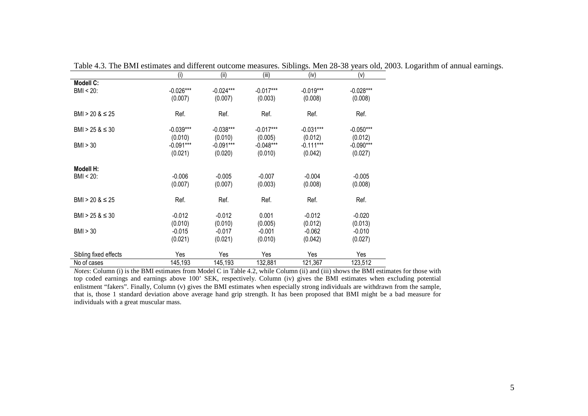|                        | (I)         | (II)        | (III)       | (IV)        | (V)         |
|------------------------|-------------|-------------|-------------|-------------|-------------|
| <b>Modell C:</b>       |             |             |             |             |             |
| BMI < 20:              | $-0.026***$ | $-0.024***$ | $-0.017***$ | $-0.019***$ | $-0.028***$ |
|                        | (0.007)     | (0.007)     | (0.003)     | (0.008)     | (0.008)     |
|                        |             |             |             |             |             |
| BMI > 20 $<$ 25        | Ref.        | Ref.        | Ref.        | Ref.        | Ref.        |
|                        |             |             |             |             |             |
| $BMI > 25 & 8 \leq 30$ | $-0.039***$ | $-0.038***$ | $-0.017***$ | $-0.031***$ | $-0.050***$ |
|                        | (0.010)     | (0.010)     | (0.005)     | (0.012)     | (0.012)     |
| BM > 30                | $-0.091***$ | $-0.091***$ | $-0.048***$ | $-0.111***$ | $-0.090***$ |
|                        | (0.021)     | (0.020)     | (0.010)     | (0.042)     | (0.027)     |
|                        |             |             |             |             |             |
| Modell H:              |             |             |             |             |             |
| $BMI < 20$ :           | $-0.006$    | $-0.005$    | $-0.007$    | $-0.004$    | $-0.005$    |
|                        | (0.007)     | (0.007)     | (0.003)     | (0.008)     | (0.008)     |
|                        |             |             |             |             |             |
| $BMI > 20 & 8 \leq 25$ | Ref.        | Ref.        | Ref.        | Ref.        | Ref.        |
|                        |             |             |             |             |             |
| BMI > 25 & $\leq$ 30   | $-0.012$    | $-0.012$    | 0.001       | $-0.012$    | $-0.020$    |
|                        | (0.010)     | (0.010)     | (0.005)     | (0.012)     | (0.013)     |
| BM > 30                | $-0.015$    | $-0.017$    | $-0.001$    | $-0.062$    | $-0.010$    |
|                        | (0.021)     | (0.021)     | (0.010)     | (0.042)     | (0.027)     |
| Sibling fixed effects  | Yes         | Yes         | Yes         | Yes         | Yes         |
| No of cases            | 145,193     | 145,193     | 132,881     | 121,367     | 123,512     |
|                        |             |             |             |             |             |

Table 4.3. The BMI estimates and different outcome measures. Siblings. Men 28-38 years old, 2003. Logarithm of annual earnings.<br>
(i)  $(ii)$   $(ii)$   $(iii)$   $(iv)$   $(v)$ 

*Notes*: Column (i) is the BMI estimates from Model C in Table 4.2, while Column (ii) and (iii) shows the BMI estimates for those with top coded earnings and earnings above 100' SEK, respectively. Column (iv) gives the BMI estimates when excluding potential enlistment "fakers". Finally, Column (v) gives the BMI estimates when especially strong individuals are withdrawn from the sample, that is, those 1 standard deviation above average hand grip strength. It has been proposed that BMI might be a bad measure for individuals with a great muscular mass.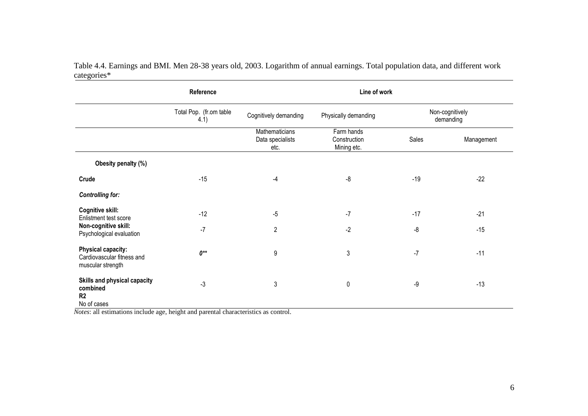Table 4.4. Earnings and BMI. Men 28-38 years old, 2003. Logarithm of annual earnings. Total population data, and different work categories\*

|                                                                              | Reference                       |                                            | Line of work                              |       |                              |
|------------------------------------------------------------------------------|---------------------------------|--------------------------------------------|-------------------------------------------|-------|------------------------------|
|                                                                              | Total Pop. (fr.om table<br>4.1) | Cognitively demanding                      | Physically demanding                      |       | Non-cognitively<br>demanding |
|                                                                              |                                 | Mathematicians<br>Data specialists<br>etc. | Farm hands<br>Construction<br>Mining etc. | Sales | Management                   |
| Obesity penalty (%)                                                          |                                 |                                            |                                           |       |                              |
| Crude                                                                        | $-15$                           | $-4$                                       | $-8$                                      | $-19$ | $-22$                        |
| <b>Controlling for:</b>                                                      |                                 |                                            |                                           |       |                              |
| Cognitive skill:<br>Enlistment test score                                    | $-12$                           | $-5$                                       | $-7$                                      | $-17$ | $-21$                        |
| Non-cognitive skill:<br>Psychological evaluation                             | $-7$                            | $\overline{2}$                             | $-2$                                      | -8    | $-15$                        |
| <b>Physical capacity:</b><br>Cardiovascular fitness and<br>muscular strength | $0^{**}$                        | 9                                          | 3                                         | $-7$  | $-11$                        |
| Skills and physical capacity<br>combined<br>R <sub>2</sub><br>No of cases    | $-3$                            | 3                                          | 0                                         | -9    | $-13$                        |

*Notes*: all estimations include age, height and parental characteristics as control.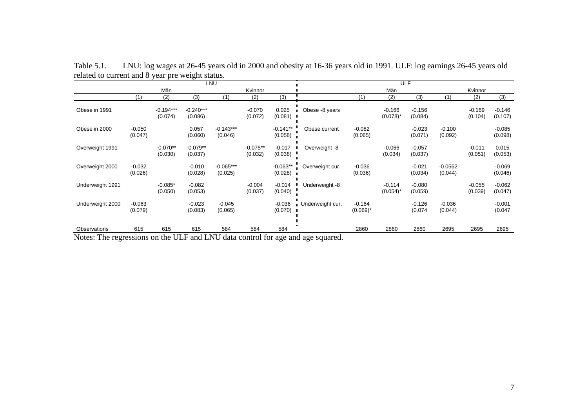|                                               |                     |                                   |                        | LNU                           |                           |                       |                              |                         | <b>ULF</b>              |                     |                      |                     |                     |
|-----------------------------------------------|---------------------|-----------------------------------|------------------------|-------------------------------|---------------------------|-----------------------|------------------------------|-------------------------|-------------------------|---------------------|----------------------|---------------------|---------------------|
|                                               |                     | Män                               |                        |                               | Kvinnor                   |                       |                              |                         | Män                     |                     |                      | Kvinnor             |                     |
|                                               | (1)                 | (2)                               | (3)                    | (1)                           | (2)                       | (3)                   |                              | (1)                     | (2)                     | (3)                 | (1)                  | (2)                 | (3)                 |
| Obese in 1991                                 |                     | $-0.194***$<br>(0.074)            | $-0.240***$<br>(0.086) |                               | $-0.070$<br>(0.072)       | 0.025<br>$(0.081)$ I  | Obese -8 years               |                         | $-0.166$<br>$(0.078)^*$ | $-0.156$<br>(0.084) |                      | $-0.169$<br>(0.104) | $-0.146$<br>(0.107) |
| Obese in 2000                                 | $-0.050$<br>(0.047) |                                   | 0.057<br>(0.060)       | $-0.143***$<br>(0.046)        |                           | $-0.141**$<br>(0.058) | Obese current                | $-0.082$<br>(0.065)     |                         | $-0.023$<br>(0.071) | $-0.100$<br>(0.092)  |                     | $-0.085$<br>(0.098) |
| Overweight 1991                               |                     | $-0.070**$<br>(0.030)             | $-0.079**$<br>(0.037)  |                               | $-0.075**$<br>(0.032)     | $-0.017$<br>(0.038)   | Overweight -8                |                         | $-0.066$<br>(0.034)     | $-0.057$<br>(0.037) |                      | $-0.011$<br>(0.051) | 0.015<br>(0.053)    |
| Overweight 2000                               | $-0.032$<br>(0.026) |                                   | $-0.010$<br>(0.028)    | $-0.065***$<br>(0.025)        |                           | $-0.063**$<br>(0.028) | Overweight cur.              | $-0.036$<br>(0.036)     |                         | $-0.021$<br>(0.034) | $-0.0562$<br>(0.044) |                     | $-0.069$<br>(0.046) |
| Underweight 1991                              |                     | $-0.085*$<br>(0.050)              | $-0.082$<br>(0.053)    |                               | $-0.004$<br>(0.037)       | $-0.014$<br>(0.040)   | Underweight -8               |                         | $-0.114$<br>$(0.054)^*$ | $-0.080$<br>(0.059) |                      | $-0.055$<br>(0.039) | $-0.062$<br>(0.047) |
| Underweight 2000                              | $-0.063$<br>(0.079) |                                   | $-0.023$<br>(0.083)    | $-0.045$<br>(0.065)           |                           | $-0.036$<br>(0.070)   | Underweight cur.             | $-0.164$<br>$(0.069)^*$ |                         | $-0.126$<br>(0.074) | $-0.036$<br>(0.044)  |                     | $-0.001$<br>(0.047) |
| Observations<br>$\mathbf{r}$ .<br><b>FIRE</b> | 615                 | 615<br><b>TIT IT</b><br>$\cdot$ 1 | 615                    | 584<br>$1$ <b>T NTT</b> $1$ . | 584<br>$\cdot$ 1 $\alpha$ | 584                   | $\mathbf{1}$<br>$\mathbf{1}$ | 2860                    | 2860                    | 2860                | 2695                 | 2695                | 2695                |

Table 5.1. LNU: log wages at 26-45 years old in 2000 and obesity at 16-36 years old in 1991. ULF: log earnings 26-45 years old related to current and 8 year pre weight status.

Notes: The regressions on the ULF and LNU data control for age and age squared.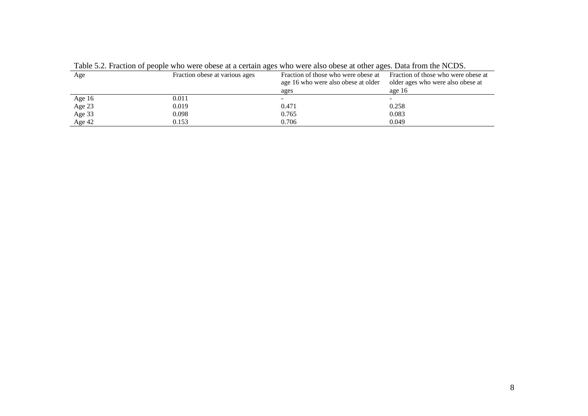| Age      | Fraction obese at various ages | Fraction of those who were obese at<br>age 16 who were also obese at older<br>ages | Fraction of those who were obese at<br>older ages who were also obese at<br>age $16$ |
|----------|--------------------------------|------------------------------------------------------------------------------------|--------------------------------------------------------------------------------------|
| Age 16   | 0.011                          |                                                                                    |                                                                                      |
| Age 23   | 0.019                          | 0.471                                                                              | 0.258                                                                                |
| Age 33   | 0.098                          | 0.765                                                                              | 0.083                                                                                |
| Age $42$ | 0.153                          | 0.706                                                                              | 0.049                                                                                |

Table 5.2. Fraction of people who were obese at a certain ages who were also obese at other ages. Data from the NCDS.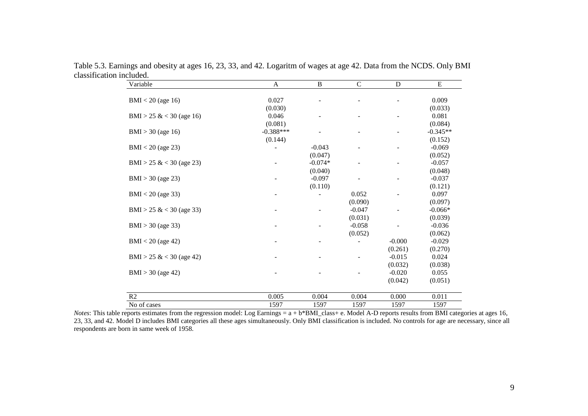| Variable                 | $\mathbf{A}$ | $\, {\bf B}$ | $\mathsf{C}$ | $\mathbf D$ | ${\bf E}$  |
|--------------------------|--------------|--------------|--------------|-------------|------------|
|                          |              |              |              |             |            |
| $BMI < 20$ (age 16)      | 0.027        |              |              |             | 0.009      |
|                          | (0.030)      |              |              |             | (0.033)    |
| BMI > 25 & < 30 (age 16) | 0.046        |              |              |             | 0.081      |
|                          | (0.081)      |              |              |             | (0.084)    |
| $BMI > 30$ (age 16)      | $-0.388***$  |              |              |             | $-0.345**$ |
|                          | (0.144)      |              |              |             | (0.152)    |
| $BMI < 20$ (age 23)      |              | $-0.043$     |              |             | $-0.069$   |
|                          |              | (0.047)      |              |             | (0.052)    |
| BMI > 25 & < 30 (age 23) |              | $-0.074*$    |              |             | $-0.057$   |
|                          |              | (0.040)      |              |             | (0.048)    |
| $BMI > 30$ (age 23)      |              | $-0.097$     |              |             | $-0.037$   |
|                          |              | (0.110)      |              |             | (0.121)    |
| $BMI < 20$ (age 33)      |              |              | 0.052        |             | 0.097      |
|                          |              |              | (0.090)      |             | (0.097)    |
| BMI > 25 & < 30 (age 33) |              |              | $-0.047$     |             | $-0.066*$  |
|                          |              |              | (0.031)      |             | (0.039)    |
| $BMI > 30$ (age 33)      |              |              | $-0.058$     |             | $-0.036$   |
|                          |              |              | (0.052)      |             | (0.062)    |
| $BMI < 20$ (age 42)      |              |              |              | $-0.000$    | $-0.029$   |
|                          |              |              |              | (0.261)     | (0.270)    |
| BMI > 25 & < 30 (age 42) |              |              |              | $-0.015$    | 0.024      |
|                          |              |              |              | (0.032)     | (0.038)    |
| $BMI > 30$ (age 42)      |              |              |              | $-0.020$    | 0.055      |
|                          |              |              |              | (0.042)     | (0.051)    |
| R2                       | 0.005        | 0.004        | 0.004        | 0.000       | 0.011      |
| No of cases              | 1597         | 1597         | 1597         | 1597        | 1597       |

Table 5.3. Earnings and obesity at ages 16, 23, 33, and 42. Logaritm of wages at age 42. Data from the NCDS. Only BMI classification included.

*Notes*: This table reports estimates from the regression model: Log Earnings = a + b\*BMI\_class+ e. Model A-D reports results from BMI categories at ages 16, 23, 33, and 42. Model D includes BMI categories all these ages simultaneously. Only BMI classification is included. No controls for age are necessary, since all respondents are born in same week of 1958.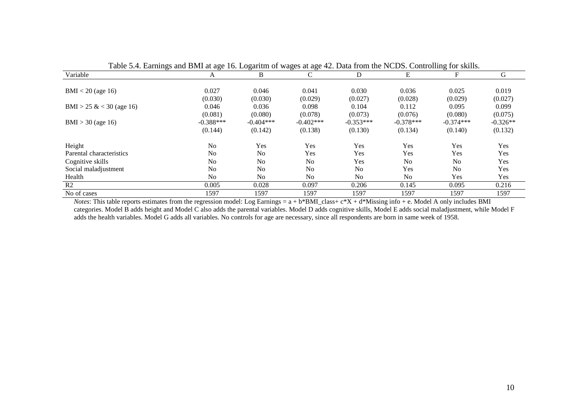| Variable                 | Tubic $\sigma$ . Lamings and DMI at age To. Logarith of wages at age 42. Data from the F(CDb). Controlling for skins. | В              | С              | D              | E              | F              | G          |
|--------------------------|-----------------------------------------------------------------------------------------------------------------------|----------------|----------------|----------------|----------------|----------------|------------|
|                          | A                                                                                                                     |                |                |                |                |                |            |
| $BMI < 20$ (age 16)      | 0.027                                                                                                                 | 0.046          | 0.041          | 0.030          | 0.036          | 0.025          | 0.019      |
|                          | (0.030)                                                                                                               | (0.030)        | (0.029)        | (0.027)        | (0.028)        | (0.029)        | (0.027)    |
| BMI > 25 & < 30 (age 16) | 0.046                                                                                                                 | 0.036          | 0.098          | 0.104          | 0.112          | 0.095          | 0.099      |
|                          | (0.081)                                                                                                               | (0.080)        | (0.078)        | (0.073)        | (0.076)        | (0.080)        | (0.075)    |
| $BMI > 30$ (age 16)      | $-0.388***$                                                                                                           | $-0.404***$    | $-0.402$ ***   | $-0.353***$    | $-0.378***$    | $-0.374***$    | $-0.326**$ |
|                          | (0.144)                                                                                                               | (0.142)        | (0.138)        | (0.130)        | (0.134)        | (0.140)        | (0.132)    |
| Height                   | N <sub>o</sub>                                                                                                        | Yes            | Yes            | Yes            | Yes            | Yes            | Yes        |
| Parental characteristics | N <sub>o</sub>                                                                                                        | N <sub>0</sub> | Yes            | Yes            | Yes            | Yes            | Yes        |
| Cognitive skills         | N <sub>0</sub>                                                                                                        | N <sub>0</sub> | No             | Yes            | N <sub>0</sub> | N <sub>0</sub> | Yes        |
| Social maladjustment     | No                                                                                                                    | N <sub>0</sub> | N <sub>0</sub> | N <sub>0</sub> | Yes            | N <sub>0</sub> | Yes        |
| Health                   | N <sub>0</sub>                                                                                                        | N <sub>0</sub> | No             | No             | N <sub>0</sub> | Yes            | Yes        |
| R <sub>2</sub>           | 0.005                                                                                                                 | 0.028          | 0.097          | 0.206          | 0.145          | 0.095          | 0.216      |
| No of cases              | 1597                                                                                                                  | 1597           | 1597           | 1597           | 1597           | 1597           | 1597       |

Table 5.4. Earnings and BMI at age 16. Logaritm of wages at age 42. Data from the NCDS. Controlling for skills.

*Notes*: This table reports estimates from the regression model: Log Earnings = a + b\*BMI\_class+ c\*X + d\*Missing info + e. Model A only includes BMI categories. Model B adds height and Model C also adds the parental variables. Model D adds cognitive skills, Model E adds social maladjustment, while Model F adds the health variables. Model G adds all variables. No controls for age are necessary, since all respondents are born in same week of 1958.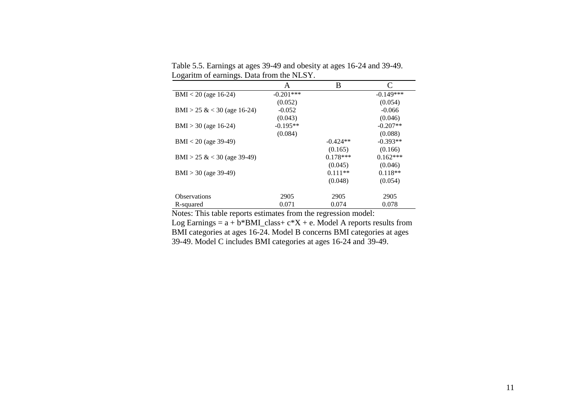|                             | A           | B          | C           |
|-----------------------------|-------------|------------|-------------|
| $BMI < 20$ (age 16-24)      | $-0.201***$ |            | $-0.149***$ |
|                             | (0.052)     |            | (0.054)     |
| BMI > 25 & < 30 (age 16-24) | $-0.052$    |            | $-0.066$    |
|                             | (0.043)     |            | (0.046)     |
| $BMI > 30$ (age 16-24)      | $-0.195**$  |            | $-0.207**$  |
|                             | (0.084)     |            | (0.088)     |
| $BMI < 20$ (age 39-49)      |             | $-0.424**$ | $-0.393**$  |
|                             |             | (0.165)    | (0.166)     |
| BMI > 25 & < 30 (age 39-49) |             | $0.178***$ | $0.162***$  |
|                             |             | (0.045)    | (0.046)     |
| $BMI > 30$ (age 39-49)      |             | $0.111**$  | $0.118**$   |
|                             |             | (0.048)    | (0.054)     |
| <b>Observations</b>         | 2905        | 2905       | 2905        |
| R-squared                   | 0.071       | 0.074      | 0.078       |

Table 5.5. Earnings at ages 39-49 and obesity at ages 16-24 and 39-49. Logaritm of earnings. Data from the NLSY.

Notes: This table reports estimates from the regression model:

Log Earnings =  $a + b*BMI\_class + c*X + e$ . Model A reports results from BMI categories at ages 16-24. Model B concerns BMI categories at ages 39-49. Model C includes BMI categories at ages 16-24 and 39-49.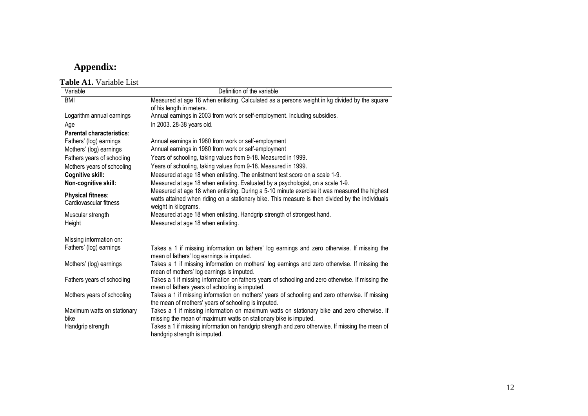## **Appendix:**

 **Table A1.** Variable List

| Variable                    | Definition of the variable                                                                                                        |
|-----------------------------|-----------------------------------------------------------------------------------------------------------------------------------|
| <b>BMI</b>                  | Measured at age 18 when enlisting. Calculated as a persons weight in kg divided by the square                                     |
|                             | of his length in meters.                                                                                                          |
| Logarithm annual earnings   | Annual earnings in 2003 from work or self-employment. Including subsidies.                                                        |
| Age                         | In 2003. 28-38 years old.                                                                                                         |
| Parental characteristics:   |                                                                                                                                   |
| Fathers' (log) earnings     | Annual earnings in 1980 from work or self-employment                                                                              |
| Mothers' (log) earnings     | Annual earnings in 1980 from work or self-employment                                                                              |
| Fathers years of schooling  | Years of schooling, taking values from 9-18. Measured in 1999.                                                                    |
| Mothers years of schooling  | Years of schooling, taking values from 9-18. Measured in 1999.                                                                    |
| Cognitive skill:            | Measured at age 18 when enlisting. The enlistment test score on a scale 1-9.                                                      |
| Non-cognitive skill:        | Measured at age 18 when enlisting. Evaluated by a psychologist, on a scale 1-9.                                                   |
| <b>Physical fitness:</b>    | Measured at age 18 when enlisting. During a 5-10 minute exercise it was measured the highest                                      |
| Cardiovascular fitness      | watts attained when riding on a stationary bike. This measure is then divided by the individuals                                  |
|                             | weight in kilograms.                                                                                                              |
| Muscular strength           | Measured at age 18 when enlisting. Handgrip strength of strongest hand.                                                           |
| Height                      | Measured at age 18 when enlisting.                                                                                                |
| Missing information on:     |                                                                                                                                   |
| Fathers' (log) earnings     | Takes a 1 if missing information on fathers' log earnings and zero otherwise. If missing the                                      |
|                             | mean of fathers' log earnings is imputed.                                                                                         |
| Mothers' (log) earnings     | Takes a 1 if missing information on mothers' log earnings and zero otherwise. If missing the                                      |
|                             | mean of mothers' log earnings is imputed.                                                                                         |
| Fathers years of schooling  | Takes a 1 if missing information on fathers years of schooling and zero otherwise. If missing the                                 |
|                             | mean of fathers years of schooling is imputed.                                                                                    |
| Mothers years of schooling  | Takes a 1 if missing information on mothers' years of schooling and zero otherwise. If missing                                    |
|                             | the mean of mothers' years of schooling is imputed.                                                                               |
| Maximum watts on stationary | Takes a 1 if missing information on maximum watts on stationary bike and zero otherwise. If                                       |
| bike                        | missing the mean of maximum watts on stationary bike is imputed.                                                                  |
| Handgrip strength           | Takes a 1 if missing information on handgrip strength and zero otherwise. If missing the mean of<br>handgrip strength is imputed. |